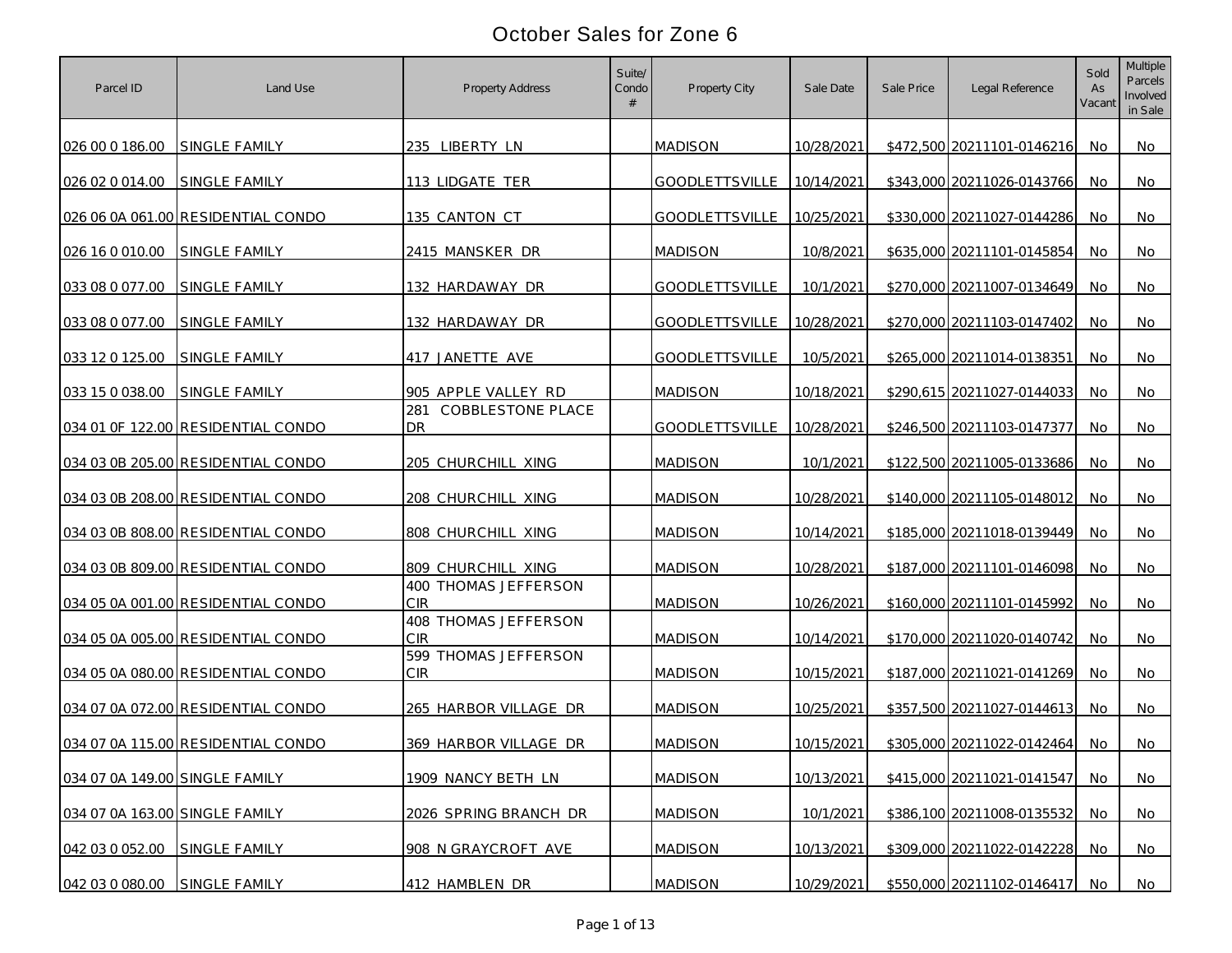| Parcel ID                      | Land Use                           | Property Address                           | Suite/<br>Condo | Property City             | Sale Date  | Sale Price | Legal Reference            | Sold<br>As<br>Vacant | Multiple<br>Parcels<br>Involved<br>in Sale |
|--------------------------------|------------------------------------|--------------------------------------------|-----------------|---------------------------|------------|------------|----------------------------|----------------------|--------------------------------------------|
| 026 00 0 186.00                | <b>SINGLE FAMILY</b>               | 235 LIBERTY LN                             |                 | <b>MADISON</b>            | 10/28/2021 |            | \$472,500 20211101-0146216 | No.                  | No                                         |
| 026 02 0 014.00                | <b>SINGLE FAMILY</b>               | 113 LIDGATE TER                            |                 | <b>GOODLETTSVILLE</b>     | 10/14/2021 |            | \$343,000 20211026-0143766 | No                   | No                                         |
|                                | 026 06 0A 061.00 RESIDENTIAL CONDO | 135 CANTON CT                              |                 | GOODLETTSVILLE            | 10/25/2021 |            | \$330,000 20211027-0144286 | No                   | No                                         |
| 026 16 0 010.00                | SINGLE FAMILY                      | 2415 MANSKER DR                            |                 | <b>MADISON</b>            | 10/8/2021  |            | \$635,000 20211101-0145854 | No                   | No                                         |
| 033 08 0 077.00                | <b>SINGLE FAMILY</b>               | 132 HARDAWAY DR                            |                 | <b>GOODLETTSVILLE</b>     | 10/1/2021  |            | \$270,000 20211007-0134649 | No                   | No                                         |
| 033 08 0 077.00                | SINGLE FAMILY                      | 132 HARDAWAY DR                            |                 | <b>GOODLETTSVILLE</b>     | 10/28/2021 |            | \$270,000 20211103-0147402 | No                   | No                                         |
| 033 12 0 125.00                | SINGLE FAMILY                      | 417 JANETTE AVE                            |                 | GOODLETTSVILLE            | 10/5/2021  |            | \$265,000 20211014-0138351 | No.                  | No.                                        |
| 033 15 0 038.00                | SINGLE FAMILY                      | 905 APPLE VALLEY RD<br>281                 |                 | <b>MADISON</b>            | 10/18/2021 |            | \$290,615 20211027-0144033 | No                   | No                                         |
|                                | 034 01 OF 122.00 RESIDENTIAL CONDO | <b>COBBLESTONE PLACE</b><br>DR.            |                 | GOODLETTSVILLE 10/28/2021 |            |            | \$246,500 20211103-0147377 | No                   | No                                         |
|                                | 034 03 0B 205.00 RESIDENTIAL CONDO | 205 CHURCHILL XING                         |                 | <b>MADISON</b>            | 10/1/2021  |            | \$122,500 20211005-0133686 | No.                  | No                                         |
|                                | 034 03 0B 208.00 RESIDENTIAL CONDO | 208 CHURCHILL XING                         |                 | <b>MADISON</b>            | 10/28/2021 |            | \$140,000 20211105-0148012 | No                   | No                                         |
|                                | 034 03 0B 808.00 RESIDENTIAL CONDO | 808 CHURCHILL XING                         |                 | <b>MADISON</b>            | 10/14/2021 |            | \$185,000 20211018-0139449 | No.                  | No                                         |
|                                | 034 03 0B 809.00 RESIDENTIAL CONDO | 809 CHURCHILL XING<br>400 THOMAS JEFFERSON |                 | <b>MADISON</b>            | 10/28/2021 |            | \$187,000 20211101-0146098 | No                   | No                                         |
|                                | 034 05 0A 001.00 RESIDENTIAL CONDO | CIR                                        |                 | <b>MADISON</b>            | 10/26/2021 |            | \$160,000 20211101-0145992 | No                   | No                                         |
|                                | 034 05 0A 005.00 RESIDENTIAL CONDO | 408 THOMAS JEFFERSON<br>CIR                |                 | <b>MADISON</b>            | 10/14/2021 |            | \$170,000 20211020-0140742 | No.                  | No                                         |
|                                | 034 05 0A 080.00 RESIDENTIAL CONDO | 599 THOMAS JEFFERSON<br>CIR                |                 | <b>MADISON</b>            | 10/15/2021 |            | \$187,000 20211021-0141269 | No.                  | No                                         |
|                                | 034 07 0A 072.00 RESIDENTIAL CONDO | 265 HARBOR VILLAGE DR                      |                 | <b>MADISON</b>            | 10/25/2021 |            | \$357,500 20211027-0144613 | No.                  | No                                         |
|                                | 034 07 0A 115.00 RESIDENTIAL CONDO | 369 HARBOR VILLAGE DR                      |                 | <b>MADISON</b>            | 10/15/2021 |            | \$305,000 20211022-0142464 | No.                  | No                                         |
| 034 07 0A 149.00 SINGLE FAMILY |                                    | 1909 NANCY BETH LN                         |                 | <b>MADISON</b>            | 10/13/2021 |            | \$415,000 20211021-0141547 | No.                  | No                                         |
| 034 07 0A 163.00 SINGLE FAMILY |                                    | 2026 SPRING BRANCH DR                      |                 | <b>MADISON</b>            | 10/1/2021  |            | \$386,100 20211008-0135532 | No.                  | No                                         |
| 042 03 0 052.00                | SINGLE FAMILY                      | 908 N GRAYCROFT AVE                        |                 | <b>MADISON</b>            | 10/13/2021 |            | \$309,000 20211022-0142228 | No.                  | No                                         |
| 042 03 0 080.00 SINGLE FAMILY  |                                    | 412 HAMBLEN DR                             |                 | <b>MADISON</b>            | 10/29/2021 |            | \$550,000 20211102-0146417 | No.                  | <u>No</u>                                  |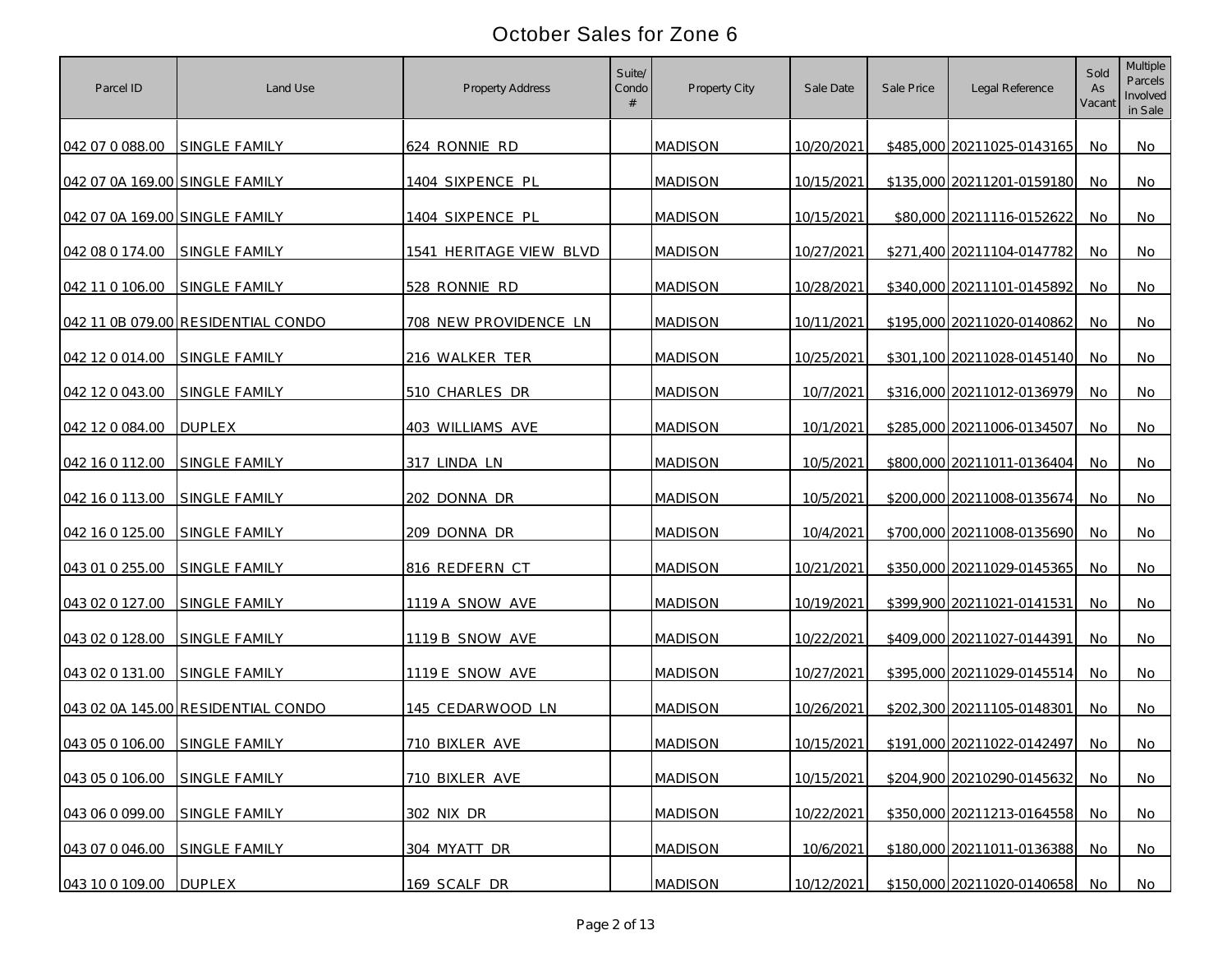| Parcel ID                      | Land Use                           | Property Address        | Suite/<br>Condo<br># | Property City  | Sale Date  | Sale Price | Legal Reference            | Sold<br>As<br>Vacant | Multiple<br>Parcels<br>Involved<br>in Sale |
|--------------------------------|------------------------------------|-------------------------|----------------------|----------------|------------|------------|----------------------------|----------------------|--------------------------------------------|
| 042 07 0 088.00                | <b>SINGLE FAMILY</b>               | 624 RONNIE RD           |                      | <b>MADISON</b> | 10/20/2021 |            | \$485,000 20211025-0143165 | No.                  | No                                         |
| 042 07 0A 169.00 SINGLE FAMILY |                                    | 1404 SIXPENCE PL        |                      | <b>MADISON</b> | 10/15/2021 |            | \$135,000 20211201-0159180 | No                   | No                                         |
| 042 07 0A 169.00 SINGLE FAMILY |                                    | 1404 SIXPENCE PL        |                      | <b>MADISON</b> | 10/15/2021 |            | \$80,000 20211116-0152622  | No                   | No                                         |
| 042 08 0 174.00                | SINGLE FAMILY                      | 1541 HERITAGE VIEW BLVD |                      | <b>MADISON</b> | 10/27/2021 |            | \$271,400 20211104-0147782 | No                   | No                                         |
| 042 11 0 106.00                | <b>SINGLE FAMILY</b>               | 528 RONNIE RD           |                      | <b>MADISON</b> | 10/28/2021 |            | \$340,000 20211101-0145892 | No                   | No                                         |
|                                | 042 11 0B 079.00 RESIDENTIAL CONDO | 708 NEW PROVIDENCE LN   |                      | <b>MADISON</b> | 10/11/2021 |            | \$195,000 20211020-0140862 | No                   | No                                         |
| 042 12 0 014.00                | <b>SINGLE FAMILY</b>               | 216 WALKER TER          |                      | <b>MADISON</b> | 10/25/2021 |            | \$301,100 20211028-0145140 | No                   | No                                         |
| 042 12 0 043 00                | SINGLE FAMILY                      | 510 CHARLES DR          |                      | <b>MADISON</b> | 10/7/2021  |            | \$316,000 20211012-0136979 | No.                  | No                                         |
| 042 12 0 084.00                | <b>DUPLEX</b>                      | 403 WILLIAMS AVE        |                      | <b>MADISON</b> | 10/1/2021  |            | \$285,000 20211006-0134507 | No                   | No                                         |
| 042 16 0 112.00                | <b>SINGLE FAMILY</b>               | 317 LINDA LN            |                      | <b>MADISON</b> | 10/5/2021  |            | \$800,000 20211011-0136404 | No.                  | No                                         |
| 042 16 0 113.00                | <b>SINGLE FAMILY</b>               | 202 DONNA DR            |                      | <b>MADISON</b> | 10/5/2021  |            | \$200,000 20211008-0135674 | No.                  | No                                         |
| 042 16 0 125.00                | <b>SINGLE FAMILY</b>               | 209 DONNA DR            |                      | <b>MADISON</b> | 10/4/2021  |            | \$700,000 20211008-0135690 | No.                  | No                                         |
| 043 01 0 255.00                | SINGLE FAMILY                      | 816 REDFERN CT          |                      | <b>MADISON</b> | 10/21/2021 |            | \$350,000 20211029-0145365 | No.                  | No                                         |
| 043 02 0 127.00                | SINGLE FAMILY                      | 1119 A SNOW AVE         |                      | <b>MADISON</b> | 10/19/2021 |            | \$399,900 20211021-0141531 | No.                  | No                                         |
| 043 02 0 128.00                | <b>SINGLE FAMILY</b>               | 1119 B SNOW AVE         |                      | <b>MADISON</b> | 10/22/2021 |            | \$409,000 20211027-0144391 | No                   | No                                         |
| 043 02 0 131.00                | <b>SINGLE FAMILY</b>               | 1119 E SNOW AVE         |                      | <b>MADISON</b> | 10/27/2021 |            | \$395,000 20211029-0145514 | No.                  | No                                         |
|                                | 043 02 0A 145.00 RESIDENTIAL CONDO | 145 CEDARWOOD LN        |                      | <b>MADISON</b> | 10/26/2021 |            | \$202,300 20211105-0148301 | No.                  | No                                         |
| 043 05 0 106.00                | SINGLE FAMILY                      | 710 BIXLER AVE          |                      | <b>MADISON</b> | 10/15/2021 |            | \$191,000 20211022-0142497 | No.                  | No                                         |
| 043 05 0 106.00                | SINGLE FAMILY                      | 710 BIXLER AVE          |                      | <b>MADISON</b> | 10/15/2021 |            | \$204,900 20210290-0145632 | No.                  | No                                         |
| 043 06 0 099.00                | SINGLE FAMILY                      | 302 NIX DR              |                      | <b>MADISON</b> | 10/22/2021 |            | \$350,000 20211213-0164558 | No                   | <b>No</b>                                  |
| 043 07 0 046.00                | SINGLE FAMILY                      | 304 MYATT DR            |                      | <b>MADISON</b> | 10/6/2021  |            | \$180,000 20211011-0136388 | No                   | No                                         |
| 043 10 0 109.00 DUPLEX         |                                    | 169 SCALF DR            |                      | <b>MADISON</b> | 10/12/2021 |            | \$150,000 20211020-0140658 | No                   | No                                         |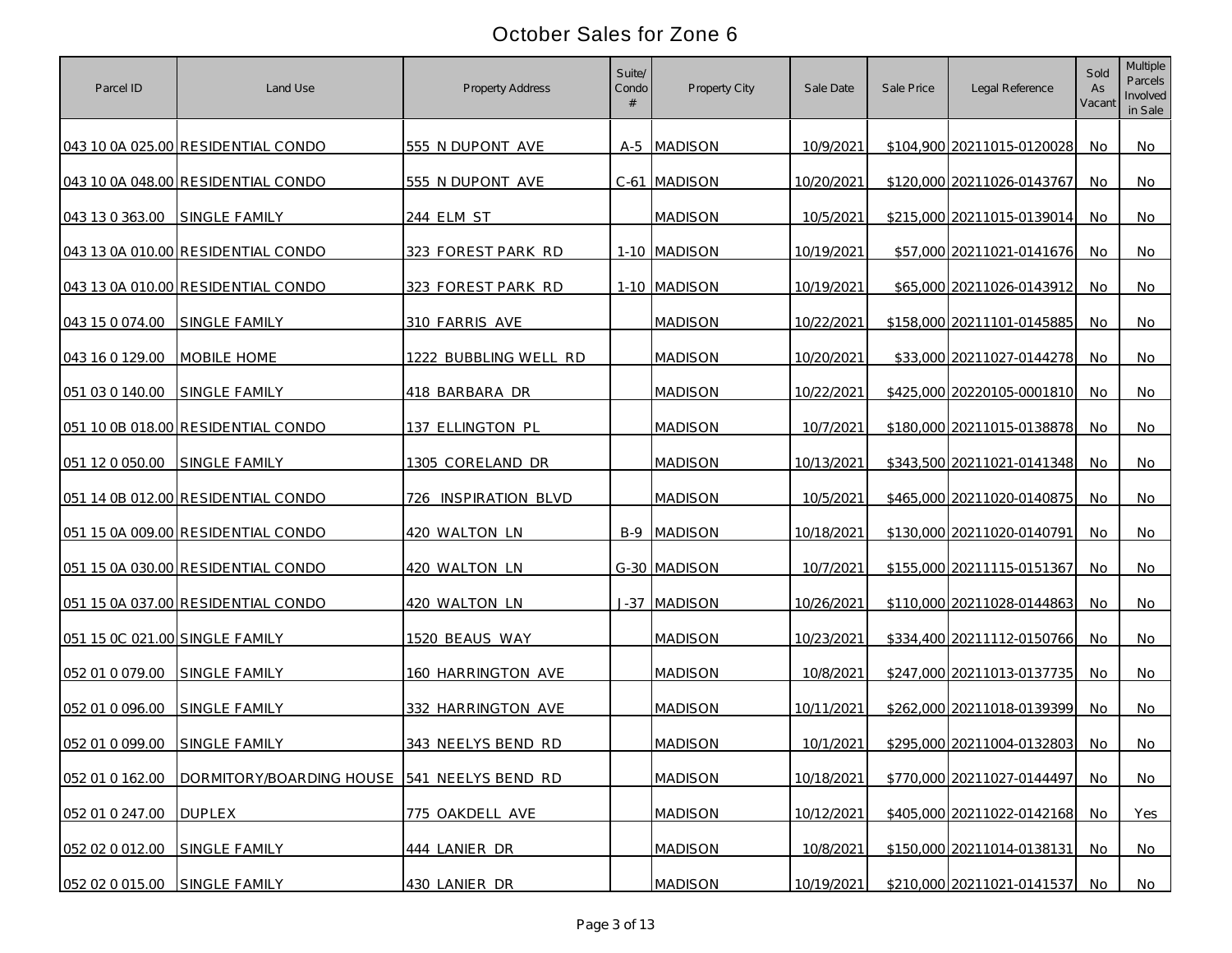| Parcel ID                      | Land Use                                    | Property Address      | Suite/<br>Condo | Property City      | Sale Date  | Sale Price | Legal Reference            | Sold<br>As<br>Vacant | Multiple<br>Parcels<br>Involved<br>in Sale |
|--------------------------------|---------------------------------------------|-----------------------|-----------------|--------------------|------------|------------|----------------------------|----------------------|--------------------------------------------|
|                                | 043 10 0A 025.00 RESIDENTIAL CONDO          | 555 N DUPONT AVE      |                 | A-5 MADISON        | 10/9/2021  |            | \$104,900 20211015-0120028 | No                   | No                                         |
|                                | 043 10 0A 048.00 RESIDENTIAL CONDO          | 555 N DUPONT AVE      |                 | C-61 MADISON       | 10/20/2021 |            | \$120,000 20211026-0143767 | No                   | No                                         |
| 043 13 0 363.00                | SINGLE FAMILY                               | 244 ELM ST            |                 | <b>MADISON</b>     | 10/5/2021  |            | \$215,000 20211015-0139014 | No                   | No                                         |
|                                | 043 13 0A 010.00 RESIDENTIAL CONDO          | 323 FOREST PARK RD    |                 | 1-10 MADISON       | 10/19/2021 |            | \$57,000 20211021-0141676  | No                   | No                                         |
|                                | 043 13 0A 010.00 RESIDENTIAL CONDO          | 323 FOREST PARK RD    |                 | 1-10 MADISON       | 10/19/2021 |            | \$65,000 20211026-0143912  | No                   | No                                         |
| 043 15 0 074.00                | <b>SINGLE FAMILY</b>                        | 310 FARRIS AVE        |                 | <b>MADISON</b>     | 10/22/2021 |            | \$158,000 20211101-0145885 | No                   | No                                         |
| 043 16 0 129.00                | <b>MOBILE HOME</b>                          | 1222 BUBBLING WELL RD |                 | <b>MADISON</b>     | 10/20/2021 |            | \$33,000 20211027-0144278  | No                   | No                                         |
| 051 03 0 140.00                | SINGLE FAMILY                               | 418 BARBARA DR        |                 | <b>MADISON</b>     | 10/22/2021 |            | \$425,000 20220105-0001810 | No.                  | No                                         |
|                                | 051 10 0B 018.00 RESIDENTIAL CONDO          | 137 ELLINGTON PL      |                 | <b>MADISON</b>     | 10/7/2021  |            | \$180,000 20211015-0138878 | No                   | No                                         |
| 051 12 0 050.00                | <b>SINGLE FAMILY</b>                        | 1305 CORELAND DR      |                 | <b>MADISON</b>     | 10/13/2021 |            | \$343,500 20211021-0141348 | No.                  | No                                         |
|                                | 051 14 0B 012.00 RESIDENTIAL CONDO          | 726 INSPIRATION BLVD  |                 | <b>MADISON</b>     | 10/5/2021  |            | \$465,000 20211020-0140875 | No.                  | No                                         |
|                                | 051 15 0A 009.00 RESIDENTIAL CONDO          | 420 WALTON LN         |                 | <b>B-9 MADISON</b> | 10/18/2021 |            | \$130,000 20211020-0140791 | No.                  | No                                         |
|                                | 051 15 0A 030.00 RESIDENTIAL CONDO          | 420 WALTON LN         |                 | G-30 MADISON       | 10/7/2021  |            | \$155,000 20211115-0151367 | No                   | No                                         |
|                                | 051 15 0A 037.00 RESIDENTIAL CONDO          | 420 WALTON LN         |                 | J-37 MADISON       | 10/26/2021 |            | \$110,000 20211028-0144863 | No                   | No                                         |
| 051 15 OC 021.00 SINGLE FAMILY |                                             | 1520 BEAUS WAY        |                 | <b>MADISON</b>     | 10/23/2021 |            | \$334,400 20211112-0150766 | No                   | No                                         |
| 052 01 0 079.00                | SINGLE FAMILY                               | 160 HARRINGTON AVE    |                 | <b>MADISON</b>     | 10/8/2021  |            | \$247,000 20211013-0137735 | No                   | No                                         |
| 052 01 0 096.00                | <b>SINGLE FAMILY</b>                        | 332 HARRINGTON AVE    |                 | <b>MADISON</b>     | 10/11/2021 |            | \$262,000 20211018-0139399 | No.                  | No                                         |
| 052 01 0 099.00                | SINGLE FAMILY                               | 343 NEELYS BEND RD    |                 | <b>MADISON</b>     | 10/1/2021  |            | \$295,000 20211004-0132803 | No.                  | No                                         |
| 052 01 0 162.00                | DORMITORY/BOARDING HOUSE 541 NEELYS BEND RD |                       |                 | <b>MADISON</b>     | 10/18/2021 |            | \$770,000 20211027-0144497 | No.                  | No                                         |
| 052 01 0 247.00                | <b>DUPLEX</b>                               | 775 OAKDELL AVE       |                 | <b>MADISON</b>     | 10/12/2021 |            | \$405,000 20211022-0142168 | No                   | Yes                                        |
| 052 02 0 012.00                | SINGLE FAMILY                               | 444 LANIER DR         |                 | <b>MADISON</b>     | 10/8/2021  |            | \$150,000 20211014-0138131 | <b>No</b>            | No                                         |
| 052 02 0 015.00 SINGLE FAMILY  |                                             | 430 LANIER DR         |                 | <b>MADISON</b>     | 10/19/2021 |            | \$210,000 20211021-0141537 | No                   | No                                         |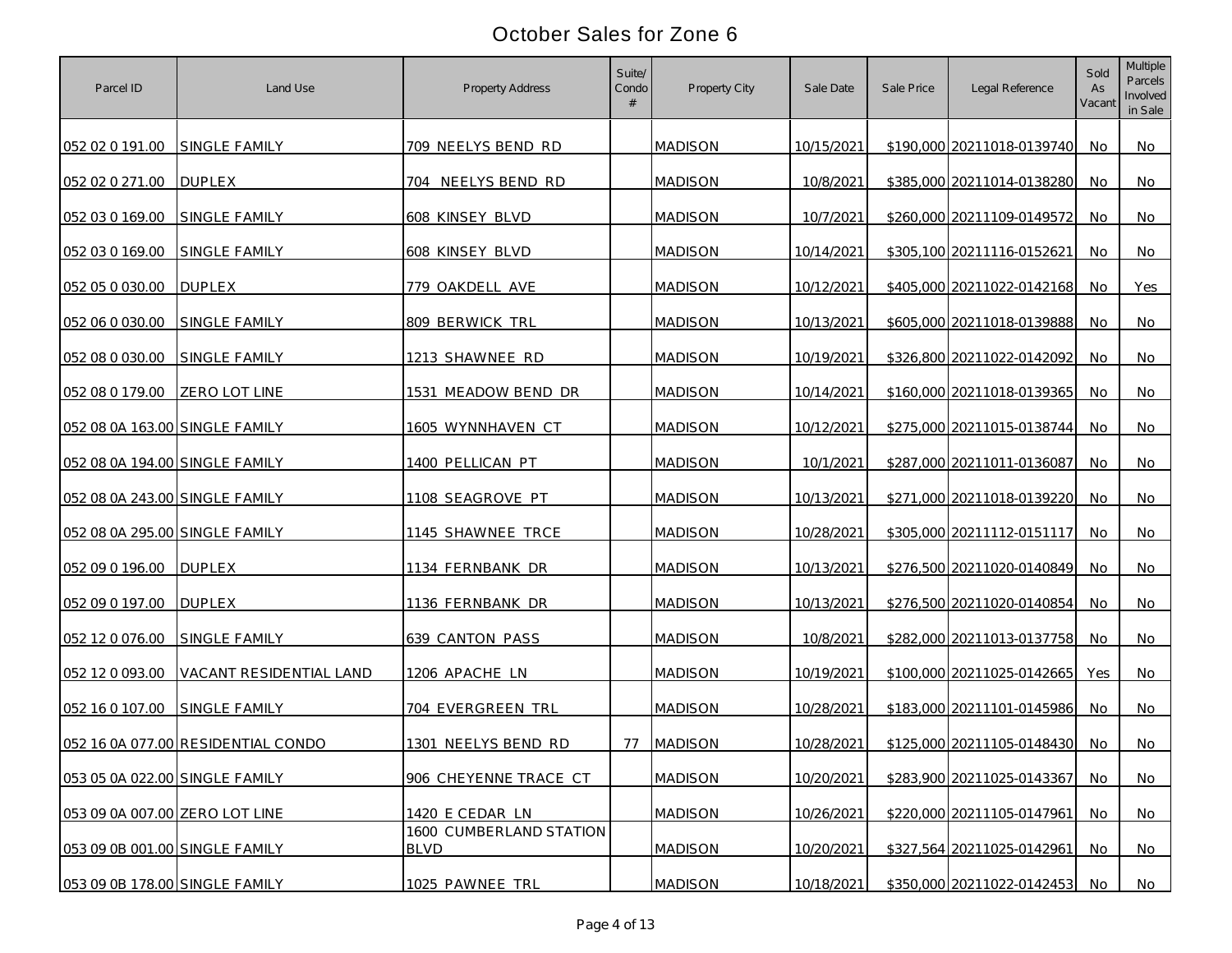| Parcel ID                      | Land Use                           | Property Address                       | Suite/<br>Condo<br># | Property City  | Sale Date  | Sale Price | Legal Reference            | Sold<br>As<br>Vacant | Multiple<br>Parcels<br>Involved<br>in Sale |
|--------------------------------|------------------------------------|----------------------------------------|----------------------|----------------|------------|------------|----------------------------|----------------------|--------------------------------------------|
| 052 02 0 191.00                | SINGLE FAMILY                      | 709 NEELYS BEND RD                     |                      | <b>MADISON</b> | 10/15/2021 |            | \$190,000 20211018-0139740 | No.                  | No                                         |
| 052 02 0 271.00                | <b>DUPLEX</b>                      | 704 NEELYS BEND RD                     |                      | <b>MADISON</b> | 10/8/2021  |            | \$385,000 20211014-0138280 | No                   | No                                         |
| 052 03 0 169.00                | SINGLE FAMILY                      | 608 KINSEY BLVD                        |                      | <b>MADISON</b> | 10/7/2021  |            | \$260,000 20211109-0149572 | No                   | No                                         |
| 052 03 0 169.00                | SINGLE FAMILY                      | 608 KINSEY BLVD                        |                      | <b>MADISON</b> | 10/14/2021 |            | \$305,100 20211116-0152621 | No                   | No                                         |
| 052 05 0 030.00                | <b>DUPLEX</b>                      | 779 OAKDELL AVE                        |                      | <b>MADISON</b> | 10/12/2021 |            | \$405,000 20211022-0142168 | No                   | Yes                                        |
| 052 06 0 030.00                | SINGLE FAMILY                      | 809 BERWICK TRL                        |                      | <b>MADISON</b> | 10/13/2021 |            | \$605,000 20211018-0139888 | No                   | No                                         |
| 052 08 0 030.00                | SINGLE FAMILY                      | 1213 SHAWNEE RD                        |                      | <b>MADISON</b> | 10/19/2021 |            | \$326,800 20211022-0142092 | No                   | No                                         |
| 052 08 0 179.00                | ZERO LOT LINE                      | 1531 MEADOW BEND DR                    |                      | <b>MADISON</b> | 10/14/2021 |            | \$160,000 20211018-0139365 | No.                  | No                                         |
| 052 08 0A 163.00 SINGLE FAMILY |                                    | 1605 WYNNHAVEN CT                      |                      | <b>MADISON</b> | 10/12/2021 |            | \$275,000 20211015-0138744 | No                   | No                                         |
| 052 08 0A 194.00 SINGLE FAMILY |                                    | 1400 PELLICAN PT                       |                      | <b>MADISON</b> | 10/1/2021  |            | \$287,000 20211011-0136087 | No.                  | No                                         |
| 052 08 0A 243.00 SINGLE FAMILY |                                    | 1108 SEAGROVE PT                       |                      | <b>MADISON</b> | 10/13/2021 |            | \$271,000 20211018-0139220 | No.                  | No                                         |
| 052 08 0A 295.00 SINGLE FAMILY |                                    | 1145 SHAWNEE TRCE                      |                      | <b>MADISON</b> | 10/28/2021 |            | \$305,000 20211112-0151117 | No.                  | No                                         |
| 052 09 0 196.00                | <b>DUPLEX</b>                      | 1134 FERNBANK DR                       |                      | <b>MADISON</b> | 10/13/2021 |            | \$276,500 20211020-0140849 | No                   | No                                         |
| 052 09 0 197.00                | <b>DUPLEX</b>                      | 1136 FERNBANK DR                       |                      | <b>MADISON</b> | 10/13/2021 |            | \$276,500 20211020-0140854 | No                   | No                                         |
| 052 12 0 076.00                | SINGLE FAMILY                      | 639 CANTON PASS                        |                      | <b>MADISON</b> | 10/8/2021  |            | \$282,000 20211013-0137758 | No                   | No                                         |
| 052 12 0 093.00                | VACANT RESIDENTIAL LAND            | 1206 APACHE LN                         |                      | <b>MADISON</b> | 10/19/2021 |            | \$100,000 20211025-0142665 | <b>Yes</b>           | No                                         |
| 052 16 0 107.00                | SINGLE FAMILY                      | 704 EVERGREEN TRL                      |                      | <b>MADISON</b> | 10/28/2021 |            | \$183,000 20211101-0145986 | No.                  | No                                         |
|                                | 052 16 0A 077.00 RESIDENTIAL CONDO | 1301 NEELYS BEND RD                    | 77                   | <b>MADISON</b> | 10/28/2021 |            | \$125,000 20211105-0148430 | No.                  | No                                         |
| 053 05 0A 022.00 SINGLE FAMILY |                                    | 906 CHEYENNE TRACE CT                  |                      | <b>MADISON</b> | 10/20/2021 |            | \$283,900 20211025-0143367 | No.                  | No                                         |
| 053 09 0A 007.00 ZERO LOT LINE |                                    | 1420 E CEDAR LN                        |                      | <b>MADISON</b> | 10/26/2021 |            | \$220,000 20211105-0147961 | No                   | <b>No</b>                                  |
| 053 09 0B 001.00 SINGLE FAMILY |                                    | 1600 CUMBERLAND STATION<br><b>BLVD</b> |                      | <b>MADISON</b> | 10/20/2021 |            | \$327,564 20211025-0142961 | No                   | No                                         |
| 053 09 0B 178.00 SINGLE FAMILY |                                    | 1025 PAWNEE TRL                        |                      | <b>MADISON</b> | 10/18/2021 |            | \$350,000 20211022-0142453 | <b>No</b>            | No                                         |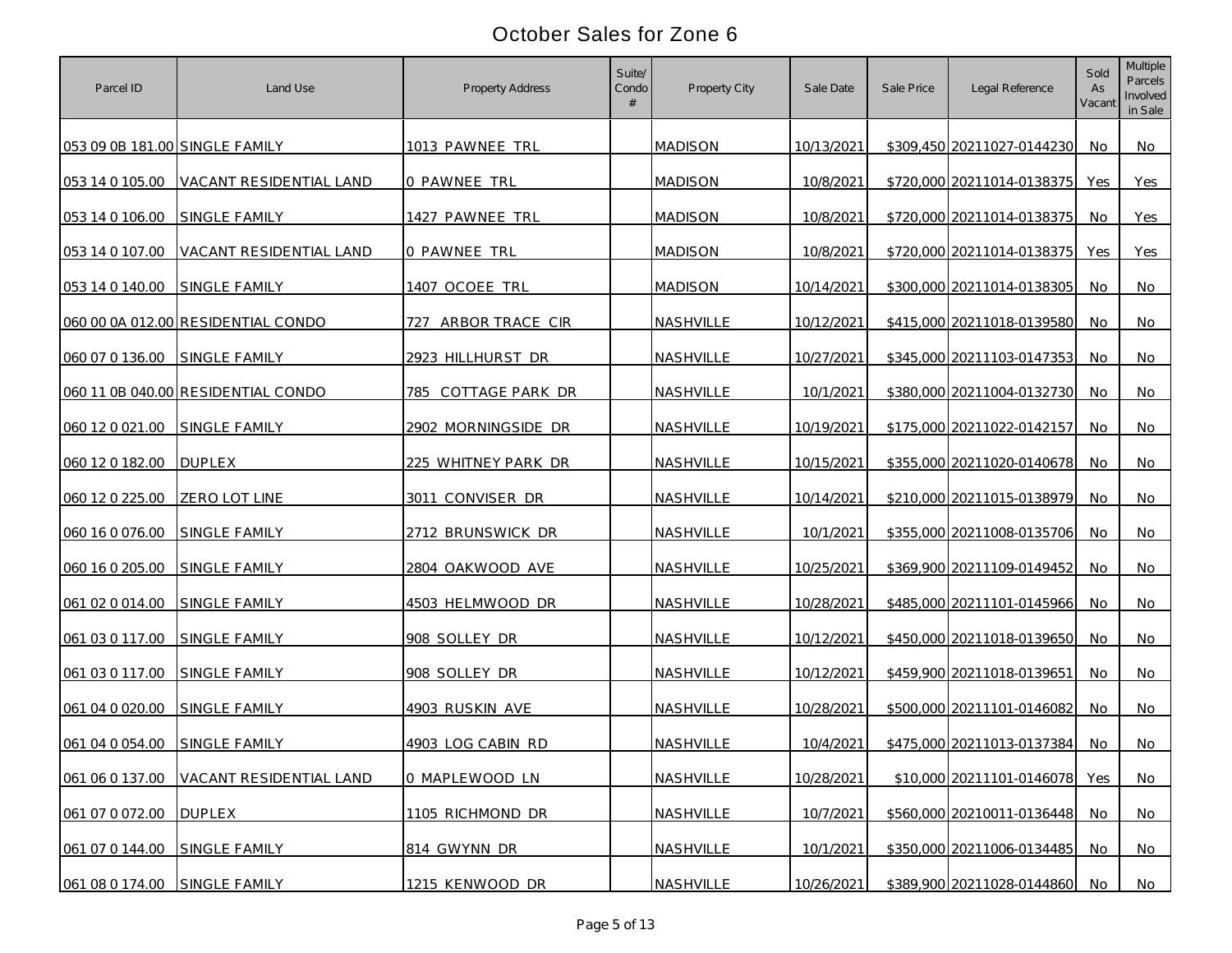| Parcel ID                      | Land Use                           | Property Address       | Suite/<br>Condo | Property City  | Sale Date  | Sale Price | Legal Reference            | Sold<br>As<br>Vacant | Multiple<br>Parcels<br>Involved<br>in Sale |
|--------------------------------|------------------------------------|------------------------|-----------------|----------------|------------|------------|----------------------------|----------------------|--------------------------------------------|
| 053 09 0B 181.00 SINGLE FAMILY |                                    | 1013 PAWNEE TRL        |                 | <b>MADISON</b> | 10/13/2021 |            | \$309,450 20211027-0144230 | No                   | No                                         |
| 053 14 0 105.00                | VACANT RESIDENTIAL LAND            | O PAWNEE TRL           |                 | <b>MADISON</b> | 10/8/2021  |            | \$720,000 20211014-0138375 | Yes                  | Yes                                        |
| 053 14 0 106.00                | SINGLE FAMILY                      | 1427 PAWNEE TRL        |                 | <b>MADISON</b> | 10/8/2021  |            | \$720,000 20211014-0138375 | No                   | Yes                                        |
| 053 14 0 107.00                | VACANT RESIDENTIAL LAND            | 0 PAWNEE TRL           |                 | <b>MADISON</b> | 10/8/2021  |            | \$720,000 20211014-0138375 | Yes                  | Yes                                        |
| 053 14 0 140.00                | SINGLE FAMILY                      | 1407 OCOEE TRL         |                 | <b>MADISON</b> | 10/14/2021 |            | \$300,000 20211014-0138305 | No                   | No                                         |
|                                | 060 00 0A 012.00 RESIDENTIAL CONDO | 727<br>ARBOR TRACE CIR |                 | NASHVILLE      | 10/12/2021 |            | \$415,000 20211018-0139580 | No.                  | No                                         |
| 060 07 0 136.00                | <b>SINGLE FAMILY</b>               | 2923 HILLHURST DR      |                 | NASHVILLE      | 10/27/2021 |            | \$345,000 20211103-0147353 | No.                  | No                                         |
|                                | 060 11 0B 040.00 RESIDENTIAL CONDO | 785 COTTAGE PARK DR    |                 | NASHVILLE      | 10/1/2021  |            | \$380,000 20211004-0132730 | No                   | No                                         |
| 060 12 0 021 00                | SINGLE FAMILY                      | 2902 MORNINGSIDE DR    |                 | NASHVILLE      | 10/19/2021 |            | \$175,000 20211022-0142157 | No                   | No                                         |
| 060 12 0 182.00                | <b>DUPLEX</b>                      | 225 WHITNEY PARK DR    |                 | NASHVILLE      | 10/15/2021 |            | \$355,000 20211020-0140678 | No.                  | No                                         |
| 060 12 0 225.00                | ZERO LOT LINE                      | 3011 CONVISER DR       |                 | NASHVILLE      | 10/14/2021 |            | \$210,000 20211015-0138979 | No.                  | No                                         |
| 060 16 0 076.00                | SINGLE FAMILY                      | 2712 BRUNSWICK DR      |                 | NASHVILLE      | 10/1/2021  |            | \$355,000 20211008-0135706 | No.                  | No                                         |
| 060 16 0 205.00                | SINGLE FAMILY                      | 2804 OAKWOOD AVE       |                 | NASHVILLE      | 10/25/2021 |            | \$369,900 20211109-0149452 | No                   | No                                         |
| 061 02 0 014.00                | SINGLE FAMILY                      | 4503 HELMWOOD DR       |                 | NASHVILLE      | 10/28/2021 |            | \$485,000 20211101-0145966 | No                   | No                                         |
| 061 03 0 117.00                | <b>SINGLE FAMILY</b>               | 908 SOLLEY DR          |                 | NASHVILLE      | 10/12/2021 |            | \$450,000 20211018-0139650 | No                   | No                                         |
| 061 03 0 117.00                | SINGLE FAMILY                      | 908 SOLLEY DR          |                 | NASHVILLE      | 10/12/2021 |            | \$459,900 20211018-0139651 | No                   | No                                         |
| 061 04 0 020.00                | <b>SINGLE FAMILY</b>               | 4903 RUSKIN AVE        |                 | NASHVILLE      | 10/28/2021 |            | \$500,000 20211101-0146082 | No                   | No                                         |
| 061 04 0 054.00                | SINGLE FAMILY                      | 4903 LOG CABIN RD      |                 | NASHVILLE      | 10/4/2021  |            | \$475,000 20211013-0137384 | No                   | No                                         |
| 061 06 0 137.00                | VACANT RESIDENTIAL LAND            | 0 MAPLEWOOD LN         |                 | NASHVILLE      | 10/28/2021 |            | \$10,000 20211101-0146078  | Yes                  | No                                         |
| 061 07 0 072.00                | <b>DUPLEX</b>                      | 1105 RICHMOND DR       |                 | NASHVILLE      | 10/7/2021  |            | \$560,000 20210011-0136448 | No                   | <b>No</b>                                  |
| 061 07 0 144.00                | SINGLE FAMILY                      | 814 GWYNN DR           |                 | NASHVILLE      | 10/1/2021  |            | \$350,000 20211006-0134485 | No.                  | No                                         |
| 061 08 0 174.00                | SINGLE FAMILY                      | 1215 KENWOOD DR        |                 | NASHVILLE      | 10/26/2021 |            | \$389,900 20211028-0144860 | No                   | No                                         |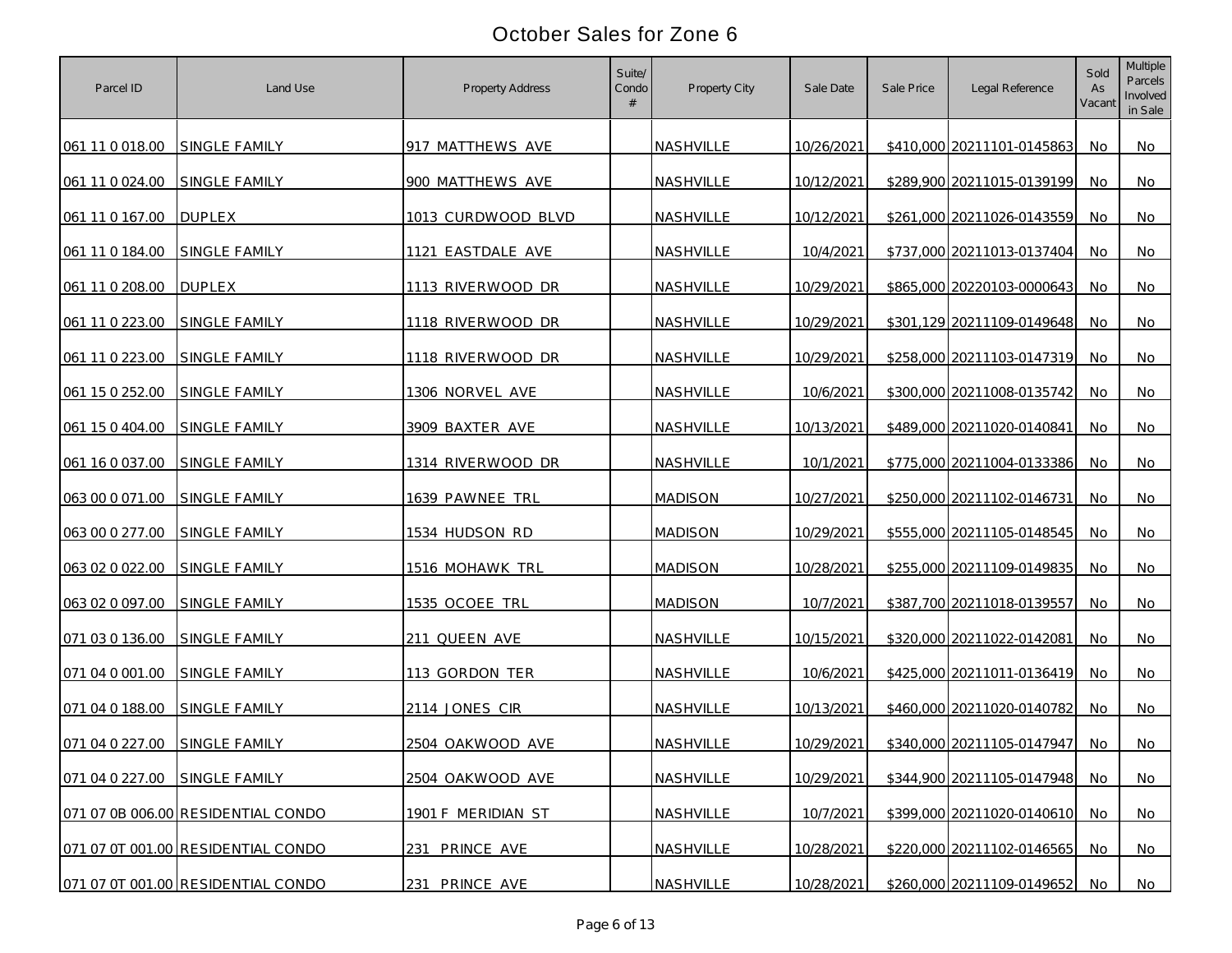| Parcel ID                     | Land Use                           | Property Address       | Suite/<br>Condo | Property City    | Sale Date  | Sale Price | Legal Reference            | Sold<br>As<br>Vacant | Multiple<br>Parcels<br>Involved<br>in Sale |
|-------------------------------|------------------------------------|------------------------|-----------------|------------------|------------|------------|----------------------------|----------------------|--------------------------------------------|
| 061 11 0 018.00               | <b>SINGLE FAMILY</b>               | 917 MATTHEWS AVE       |                 | <b>NASHVILLE</b> | 10/26/2021 |            | \$410,000 20211101-0145863 | No                   | No                                         |
| 061 11 0 024.00               | SINGLE FAMILY                      | 900 MATTHEWS AVE       |                 | NASHVILLE        | 10/12/2021 |            | \$289,900 20211015-0139199 | No.                  | No                                         |
| 061 11 0 167.00               | <b>DUPLEX</b>                      | 1013 CURDWOOD BLVD     |                 | NASHVILLE        | 10/12/2021 |            | \$261,000 20211026-0143559 | No                   | No                                         |
| 061 11 0 184.00               | SINGLE FAMILY                      | 1121 EASTDALE AVE      |                 | NASHVILLE        | 10/4/2021  |            | \$737,000 20211013-0137404 | No                   | No                                         |
| 061 11 0 208.00               | <b>DUPLEX</b>                      | 1113 RIVERWOOD DR      |                 | NASHVILLE        | 10/29/2021 |            | \$865,000 20220103-0000643 | No.                  | No                                         |
| 061 11 0 223.00               | SINGLE FAMILY                      | 1118 RIVERWOOD DR      |                 | NASHVILLE        | 10/29/2021 |            | \$301,129 20211109-0149648 | No.                  | No                                         |
| 061 11 0 223.00               | SINGLE FAMILY                      | 1118 RIVERWOOD DR      |                 | NASHVILLE        | 10/29/2021 |            | \$258,000 20211103-0147319 | No.                  | No                                         |
| 061 15 0 252.00               | SINGLE FAMILY                      | 1306 NORVEL AVE        |                 | NASHVILLE        | 10/6/2021  |            | \$300,000 20211008-0135742 | No.                  | No                                         |
| 061 15 0 404.00               | SINGLE FAMILY                      | 3909 BAXTER AVE        |                 | NASHVILLE        | 10/13/2021 |            | \$489,000 20211020-0140841 | No.                  | No                                         |
| 061 16 0 037.00               | <b>SINGLE FAMILY</b>               | 1314 RIVERWOOD DR      |                 | NASHVILLE        | 10/1/2021  |            | \$775,000 20211004-0133386 | No.                  | No.                                        |
| 063 00 0 071.00               | SINGLE FAMILY                      | 1639 PAWNEE TRL        |                 | <b>MADISON</b>   | 10/27/2021 |            | \$250,000 20211102-0146731 | No                   | No                                         |
| 063 00 0 277.00               | <b>SINGLE FAMILY</b>               | 1534 HUDSON RD         |                 | <b>MADISON</b>   | 10/29/2021 |            | \$555,000 20211105-0148545 | No.                  | No                                         |
| 063 02 0 022.00               | SINGLE FAMILY                      | <u>1516 MOHAWK TRL</u> |                 | <b>MADISON</b>   | 10/28/2021 |            | \$255,000 20211109-0149835 | No                   | No                                         |
| 063 02 0 097.00               | SINGLE FAMILY                      | 1535 OCOEE TRL         |                 | <b>MADISON</b>   | 10/7/2021  |            | \$387,700 20211018-0139557 | No                   | No                                         |
| 071 03 0 136.00               | SINGLE FAMILY                      | 211 QUEEN AVE          |                 | NASHVILLE        | 10/15/2021 |            | \$320,000 20211022-0142081 | No                   | No                                         |
| 071 04 0 001.00               | <b>SINGLE FAMILY</b>               | 113 GORDON TER         |                 | NASHVILLE        | 10/6/2021  |            | \$425,000 20211011-0136419 | No.                  | No                                         |
| 071 04 0 188.00               | SINGLE FAMILY                      | 2114 JONES CIR         |                 | NASHVILLE        | 10/13/2021 |            | \$460,000 20211020-0140782 | No                   | No                                         |
| 071 04 0 227.00 SINGLE FAMILY |                                    | 2504 OAKWOOD AVE       |                 | NASHVILLE        | 10/29/2021 |            | \$340,000 20211105-0147947 | No                   | No                                         |
| 071 04 0 227.00 SINGLE FAMILY |                                    | 2504 OAKWOOD AVE       |                 | NASHVILLE        | 10/29/2021 |            | \$344,900 20211105-0147948 | No.                  | No                                         |
|                               | 071 07 0B 006.00 RESIDENTIAL CONDO | 1901 F MERIDIAN ST     |                 | NASHVILLE        | 10/7/2021  |            | \$399,000 20211020-0140610 | No                   | <b>No</b>                                  |
|                               | 071 07 0T 001.00 RESIDENTIAL CONDO | 231 PRINCE AVE         |                 | NASHVILLE        | 10/28/2021 |            | \$220,000 20211102-0146565 | No.                  | No                                         |
|                               | 071 07 0T 001.00 RESIDENTIAL CONDO | 231 PRINCE AVE         |                 | NASHVILLE        | 10/28/2021 |            | \$260,000 20211109-0149652 | No                   | No                                         |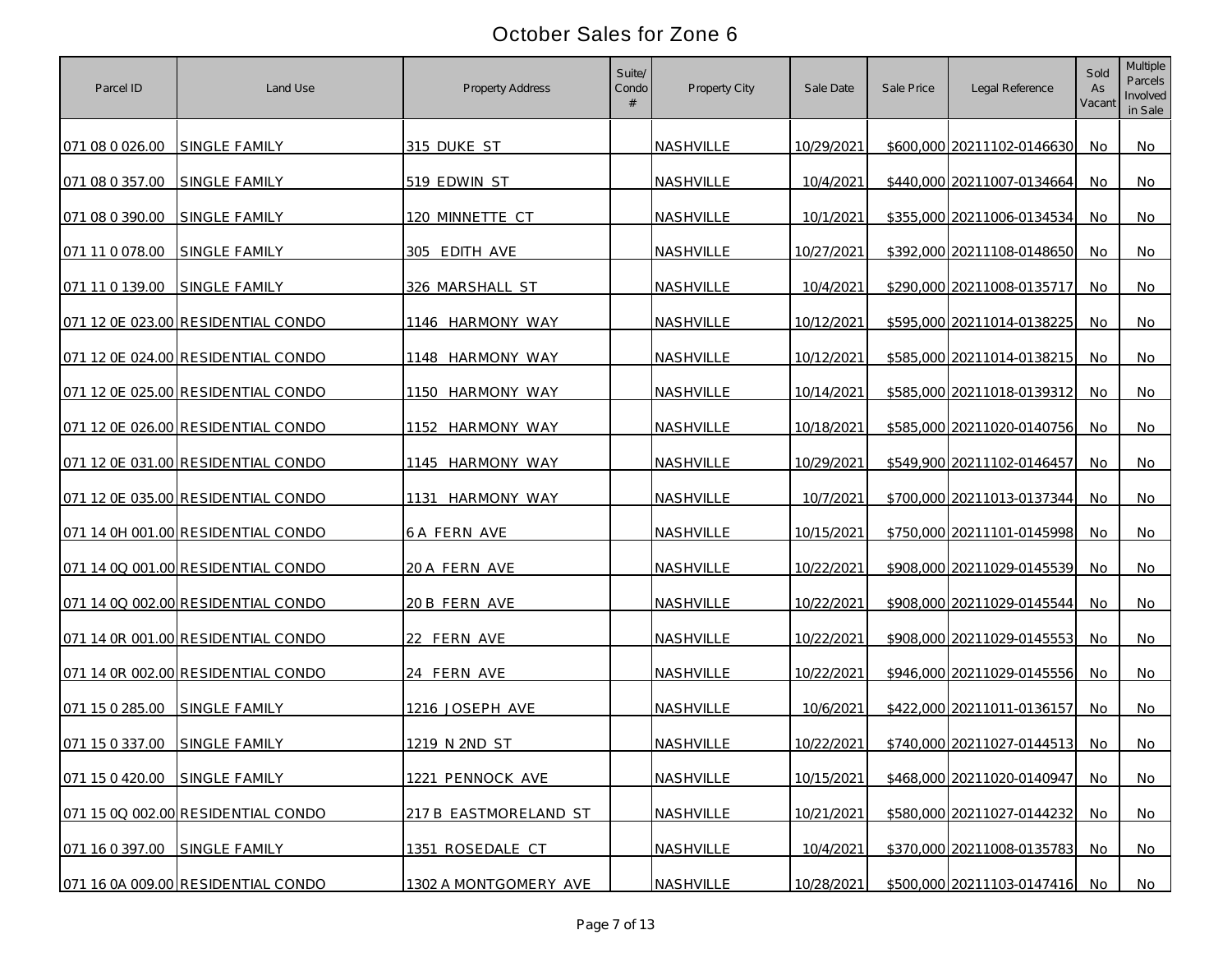| Parcel ID                     | Land Use                           | Property Address      | Suite/<br>Condo<br># | Property City    | Sale Date  | Sale Price | Legal Reference               | Sold<br>As<br>Vacant | Multiple<br>Parcels<br>Involved<br>in Sale |
|-------------------------------|------------------------------------|-----------------------|----------------------|------------------|------------|------------|-------------------------------|----------------------|--------------------------------------------|
| 071 08 0 026.00               | SINGLE FAMILY                      | 315 DUKE ST           |                      | NASHVILLE        | 10/29/2021 |            | \$600,000 20211102-0146630    | No.                  | No                                         |
| 071 08 0 357.00               | SINGLE FAMILY                      | 519 EDWIN ST          |                      | NASHVILLE        | 10/4/2021  |            | \$440,000 20211007-0134664    | No                   | No                                         |
| 071 08 0 390.00               | <b>SINGLE FAMILY</b>               | 120 MINNETTE CT       |                      | NASHVILLE        | 10/1/2021  |            | \$355,000 20211006-0134534    | No                   | No                                         |
| 071 11 0 078.00               | SINGLE FAMILY                      | 305 EDITH AVE         |                      | NASHVILLE        | 10/27/2021 |            | \$392,000 20211108-0148650    | No                   | No                                         |
| 071 11 0 139.00               | <b>SINGLE FAMILY</b>               | 326 MARSHALL ST       |                      | NASHVILLE        | 10/4/2021  |            | \$290,000 20211008-0135717    | No                   | No                                         |
|                               | 071 12 0E 023.00 RESIDENTIAL CONDO | 1146 HARMONY WAY      |                      | <b>NASHVILLE</b> | 10/12/2021 |            | \$595,000 20211014-0138225    | No                   | No                                         |
|                               | 071 12 0E 024.00 RESIDENTIAL CONDO | 1148 HARMONY WAY      |                      | NASHVILLE        | 10/12/2021 |            | \$585,000 20211014-0138215    | No                   | No                                         |
|                               | 071 12 0E 025.00 RESIDENTIAL CONDO | 1150 HARMONY WAY      |                      | NASHVILLE        | 10/14/2021 |            | \$585,000 20211018-0139312    | No.                  | No                                         |
|                               | 071 12 0E 026.00 RESIDENTIAL CONDO | 1152 HARMONY WAY      |                      | NASHVILLE        | 10/18/2021 |            | \$585,000 20211020-0140756    | No                   | No                                         |
|                               | 071 12 0E 031.00 RESIDENTIAL CONDO | 1145 HARMONY WAY      |                      | NASHVILLE        | 10/29/2021 |            | \$549,900 20211102-0146457    | No.                  | No                                         |
|                               | 071 12 0E 035.00 RESIDENTIAL CONDO | HARMONY WAY<br>1131   |                      | NASHVILLE        | 10/7/2021  |            | \$700,000 20211013-0137344    | No.                  | No                                         |
|                               | 071 14 0H 001.00 RESIDENTIAL CONDO | 6 A FERN AVE          |                      | NASHVILLE        | 10/15/2021 |            | \$750,000 20211101-0145998    | No.                  | No                                         |
|                               | 071 14 0Q 001.00 RESIDENTIAL CONDO | 20 A FERN AVE         |                      | NASHVILLE        | 10/22/2021 |            | \$908,000 20211029-0145539    | No                   | No                                         |
|                               | 071 14 0Q 002.00 RESIDENTIAL CONDO | 20 B FERN AVE         |                      | NASHVILLE        | 10/22/2021 |            | \$908,000 20211029-0145544    | No                   | No                                         |
|                               | 071 14 0R 001.00 RESIDENTIAL CONDO | 22 FERN AVE           |                      | NASHVILLE        | 10/22/2021 |            | \$908,000 20211029-0145553    | No                   | No                                         |
|                               | 071 14 0R 002.00 RESIDENTIAL CONDO | 24 FERN AVE           |                      | NASHVILLE        | 10/22/2021 |            | \$946,000 20211029-0145556    | No                   | No                                         |
| 071 15 0 285.00               | SINGLE FAMILY                      | 1216 JOSEPH AVE       |                      | NASHVILLE        | 10/6/2021  |            | \$422,000 20211011-0136157    | No                   | No                                         |
| 071 15 0 337.00               | SINGLE FAMILY                      | 1219 N 2ND ST         |                      | NASHVILLE        | 10/22/2021 |            | \$740,000 20211027-0144513    | No.                  | No                                         |
| 071 15 0 420.00 SINGLE FAMILY |                                    | 1221 PENNOCK AVE      |                      | NASHVILLE        | 10/15/2021 |            | \$468,000 20211020-0140947    | No.                  | No                                         |
|                               | 071 15 0Q 002.00 RESIDENTIAL CONDO | 217 B EASTMORELAND ST |                      | NASHVILLE        | 10/21/2021 |            | \$580,000 20211027-0144232    | No                   | No                                         |
| 071 16 0 397.00 SINGLE FAMILY |                                    | 1351 ROSEDALE CT      |                      | NASHVILLE        | 10/4/2021  |            | \$370,000 20211008-0135783    | No                   | No                                         |
|                               | 071 16 0A 009.00 RESIDENTIAL CONDO | 1302 A MONTGOMERY AVE |                      | <b>NASHVILLE</b> | 10/28/2021 |            | \$500,000 20211103-0147416 No |                      | No                                         |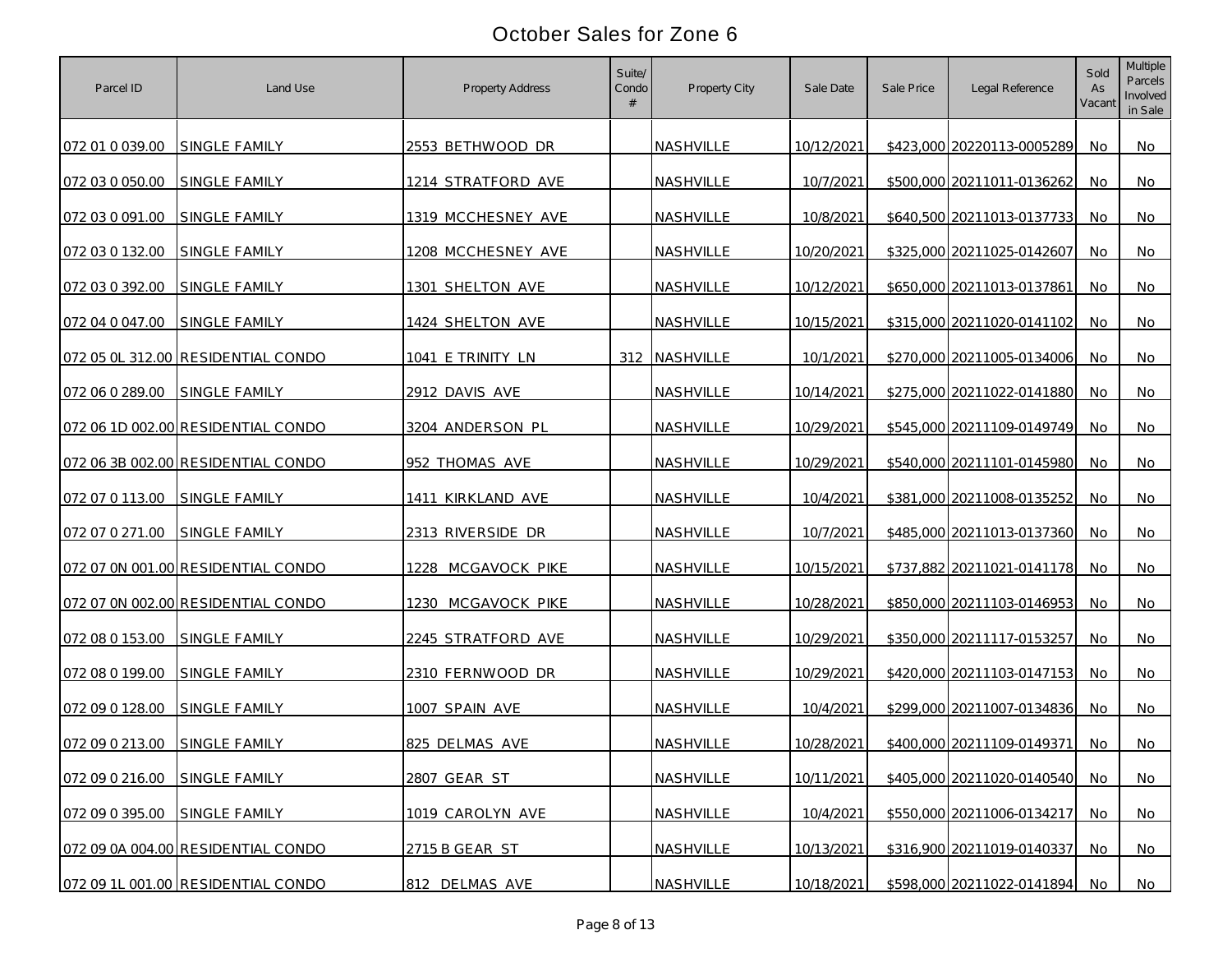| Parcel ID       | Land Use                           | Property Address   | Suite/<br>Condo<br># | Property City | Sale Date  | Sale Price | Legal Reference            | Sold<br>As<br>Vacant | Multiple<br>Parcels<br>Involved<br>in Sale |
|-----------------|------------------------------------|--------------------|----------------------|---------------|------------|------------|----------------------------|----------------------|--------------------------------------------|
| 072 01 0 039.00 | SINGLE FAMILY                      | 2553 BETHWOOD DR   |                      | NASHVILLE     | 10/12/2021 |            | \$423,000 20220113-0005289 | No.                  | No                                         |
| 072 03 0 050.00 | SINGLE FAMILY                      | 1214 STRATFORD AVE |                      | NASHVILLE     | 10/7/2021  |            | \$500,000 20211011-0136262 | No                   | No                                         |
| 072 03 0 091.00 | SINGLE FAMILY                      | 1319 MCCHESNEY AVE |                      | NASHVILLE     | 10/8/2021  |            | \$640,500 20211013-0137733 | No                   | No                                         |
| 072 03 0 132.00 | SINGLE FAMILY                      | 1208 MCCHESNEY AVE |                      | NASHVILLE     | 10/20/2021 |            | \$325,000 20211025-0142607 | No                   | No                                         |
| 072 03 0 392.00 | SINGLE FAMILY                      | 1301 SHELTON AVE   |                      | NASHVILLE     | 10/12/2021 |            | \$650,000 20211013-0137861 | No                   | No                                         |
| 072 04 0 047.00 | SINGLE FAMILY                      | 1424 SHELTON AVE   |                      | NASHVILLE     | 10/15/2021 |            | \$315,000 20211020-0141102 | No                   | No                                         |
|                 | 072 05 OL 312.00 RESIDENTIAL CONDO | 1041 E TRINITY LN  |                      | 312 NASHVILLE | 10/1/2021  |            | \$270,000 20211005-0134006 | No                   | No                                         |
| 072 06 0 289.00 | <b>SINGLE FAMILY</b>               | 2912 DAVIS AVE     |                      | NASHVILLE     | 10/14/2021 |            | \$275,000 20211022-0141880 | No.                  | No                                         |
|                 | 072 06 1D 002.00 RESIDENTIAL CONDO | 3204 ANDERSON PL   |                      | NASHVILLE     | 10/29/2021 |            | \$545,000 20211109-0149749 | No                   | No                                         |
|                 | 072 06 3B 002.00 RESIDENTIAL CONDO | 952 THOMAS AVE     |                      | NASHVILLE     | 10/29/2021 |            | \$540,000 20211101-0145980 | No.                  | No                                         |
| 072 07 0 113.00 | <b>SINGLE FAMILY</b>               | 1411 KIRKLAND AVE  |                      | NASHVILLE     | 10/4/2021  |            | \$381,000 20211008-0135252 | No.                  | No                                         |
| 072 07 0 271.00 | <b>SINGLE FAMILY</b>               | 2313 RIVERSIDE DR  |                      | NASHVILLE     | 10/7/2021  |            | \$485,000 20211013-0137360 | No.                  | No                                         |
|                 | 072 07 0N 001.00 RESIDENTIAL CONDO | 1228 MCGAVOCK PIKE |                      | NASHVILLE     | 10/15/2021 |            | \$737,882 20211021-0141178 | No                   | No                                         |
|                 | 072 07 0N 002.00 RESIDENTIAL CONDO | 1230 MCGAVOCK PIKE |                      | NASHVILLE     | 10/28/2021 |            | \$850,000 20211103-0146953 | No                   | No                                         |
| 072 08 0 153.00 | <b>SINGLE FAMILY</b>               | 2245 STRATFORD AVE |                      | NASHVILLE     | 10/29/2021 |            | \$350,000 20211117-0153257 | No                   | No                                         |
| 072 08 0 199.00 | <b>SINGLE FAMILY</b>               | 2310 FERNWOOD DR   |                      | NASHVILLE     | 10/29/2021 |            | \$420,000 20211103-0147153 | No                   | No                                         |
| 072 09 0 128.00 | <b>SINGLE FAMILY</b>               | 1007 SPAIN AVE     |                      | NASHVILLE     | 10/4/2021  |            | \$299,000 20211007-0134836 | No                   | No                                         |
| 072 09 0 213.00 | SINGLE FAMILY                      | 825 DELMAS AVE     |                      | NASHVILLE     | 10/28/2021 |            | \$400,000 20211109-0149371 | No.                  | No                                         |
| 072 09 0 216.00 | SINGLE FAMILY                      | 2807 GEAR ST       |                      | NASHVILLE     | 10/11/2021 |            | \$405,000 20211020-0140540 | No.                  | No                                         |
| 072 09 0 395.00 | SINGLE FAMILY                      | 1019 CAROLYN AVE   |                      | NASHVILLE     | 10/4/2021  |            | \$550,000 20211006-0134217 | No                   | No                                         |
|                 | 072 09 0A 004.00 RESIDENTIAL CONDO | 2715 B GEAR ST     |                      | NASHVILLE     | 10/13/2021 |            | \$316,900 20211019-0140337 | No                   | No                                         |
|                 | 072 09 1L 001.00 RESIDENTIAL CONDO | 812 DELMAS AVE     |                      | NASHVILLE     | 10/18/2021 |            | \$598,000 20211022-0141894 | No                   | No                                         |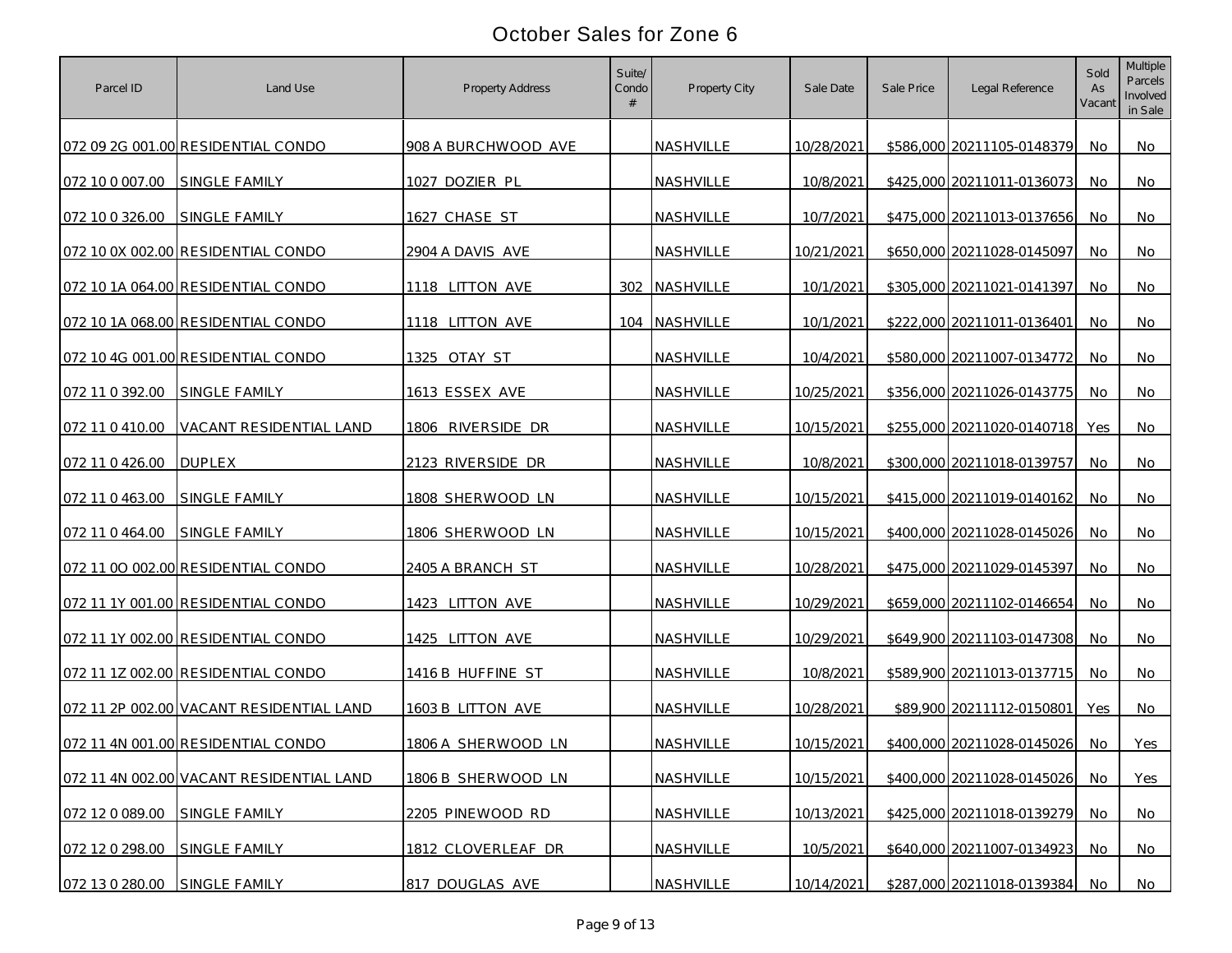| Parcel ID                     | Land Use                                 | Property Address    | Suite/<br>Condo | Property City    | Sale Date  | Sale Price | Legal Reference            | Sold<br>As<br>Vacant | Multiple<br>Parcels<br>Involved<br>in Sale |
|-------------------------------|------------------------------------------|---------------------|-----------------|------------------|------------|------------|----------------------------|----------------------|--------------------------------------------|
|                               | 072 09 2G 001.00 RESIDENTIAL CONDO       | 908 A BURCHWOOD AVE |                 | <b>NASHVILLE</b> | 10/28/2021 |            | \$586,000 20211105-0148379 | No                   | No                                         |
| 072 10 0 007.00               | <b>SINGLE FAMILY</b>                     | 1027 DOZIER PL      |                 | NASHVILLE        | 10/8/2021  |            | \$425,000 20211011-0136073 | No                   | No                                         |
| 072 10 0 326.00               | SINGLE FAMILY                            | 1627 CHASE ST       |                 | NASHVILLE        | 10/7/2021  |            | \$475,000 20211013-0137656 | No                   | No                                         |
|                               | 072 10 0X 002.00 RESIDENTIAL CONDO       | 2904 A DAVIS AVE    |                 | NASHVILLE        | 10/21/2021 |            | \$650,000 20211028-0145097 | No                   | No                                         |
|                               | 072 10 1A 064.00 RESIDENTIAL CONDO       | 1118 LITTON AVE     | 302             | NASHVILLE        | 10/1/2021  |            | \$305,000 20211021-0141397 | No                   | No                                         |
|                               | 072 10 1A 068.00 RESIDENTIAL CONDO       | 1118 LITTON AVE     |                 | 104 NASHVILLE    | 10/1/2021  |            | \$222,000 20211011-0136401 | No.                  | No                                         |
|                               | 072 10 4G 001.00 RESIDENTIAL CONDO       | 1325 OTAY ST        |                 | <b>NASHVILLE</b> | 10/4/2021  |            | \$580,000 20211007-0134772 | No.                  | No                                         |
| 072 11 0 392.00               | <b>SINGLE FAMILY</b>                     | 1613 ESSEX AVE      |                 | NASHVILLE        | 10/25/2021 |            | \$356,000 20211026-0143775 | No                   | No                                         |
| 072 11 0 410.00               | VACANT RESIDENTIAL LAND                  | 1806 RIVERSIDE DR   |                 | NASHVILLE        | 10/15/2021 |            | \$255,000 20211020-0140718 | Yes                  | No                                         |
| 072 11 0 426.00               | <b>DUPLEX</b>                            | 2123 RIVERSIDE DR   |                 | NASHVILLE        | 10/8/2021  |            | \$300,000 20211018-0139757 | No.                  | No                                         |
| 072 11 0 463.00               | SINGLE FAMILY                            | 1808 SHERWOOD LN    |                 | NASHVILLE        | 10/15/2021 |            | \$415,000 20211019-0140162 | No.                  | No                                         |
| 072 11 0 464.00               | <b>SINGLE FAMILY</b>                     | 1806 SHERWOOD LN    |                 | NASHVILLE        | 10/15/2021 |            | \$400,000 20211028-0145026 | No                   | No                                         |
|                               | 072 11 00 002.00 RESIDENTIAL CONDO       | 2405 A BRANCH ST    |                 | <b>NASHVILLE</b> | 10/28/2021 |            | \$475,000 20211029-0145397 | No                   | No                                         |
|                               | 072 11 1Y 001.00 RESIDENTIAL CONDO       | 1423 LITTON AVE     |                 | NASHVILLE        | 10/29/2021 |            | \$659,000 20211102-0146654 | No                   | No                                         |
|                               | 072 11 1Y 002.00 RESIDENTIAL CONDO       | 1425 LITTON AVE     |                 | NASHVILLE        | 10/29/2021 |            | \$649,900 20211103-0147308 | No                   | No                                         |
|                               | 072 11 1Z 002.00 RESIDENTIAL CONDO       | 1416 B HUFFINE ST   |                 | NASHVILLE        | 10/8/2021  |            | \$589,900 20211013-0137715 | No                   | No                                         |
|                               | 072 11 2P 002.00 VACANT RESIDENTIAL LAND | 1603 B LITTON AVE   |                 | NASHVILLE        | 10/28/2021 |            | \$89,900 20211112-0150801  | Yes                  | No                                         |
|                               | 072 11 4N 001.00 RESIDENTIAL CONDO       | 1806 A SHERWOOD LN  |                 | NASHVILLE        | 10/15/2021 |            | \$400,000 20211028-0145026 | No.                  | Yes                                        |
|                               | 072 11 4N 002.00 VACANT RESIDENTIAL LAND | 1806 B SHERWOOD LN  |                 | NASHVILLE        | 10/15/2021 |            | \$400,000 20211028-0145026 | <b>No</b>            | Yes                                        |
| 072 12 0 089.00               | SINGLE FAMILY                            | 2205 PINEWOOD RD    |                 | NASHVILLE        | 10/13/2021 |            | \$425,000 20211018-0139279 | No                   | <b>No</b>                                  |
| 072 12 0 298.00               | <b>SINGLE FAMILY</b>                     | 1812 CLOVERLEAF DR  |                 | NASHVILLE        | 10/5/2021  |            | \$640,000 20211007-0134923 | No.                  | No                                         |
| 072 13 0 280.00 SINGLE FAMILY |                                          | 817 DOUGLAS AVE     |                 | NASHVILLE        | 10/14/2021 |            | \$287,000 20211018-0139384 | No                   | No                                         |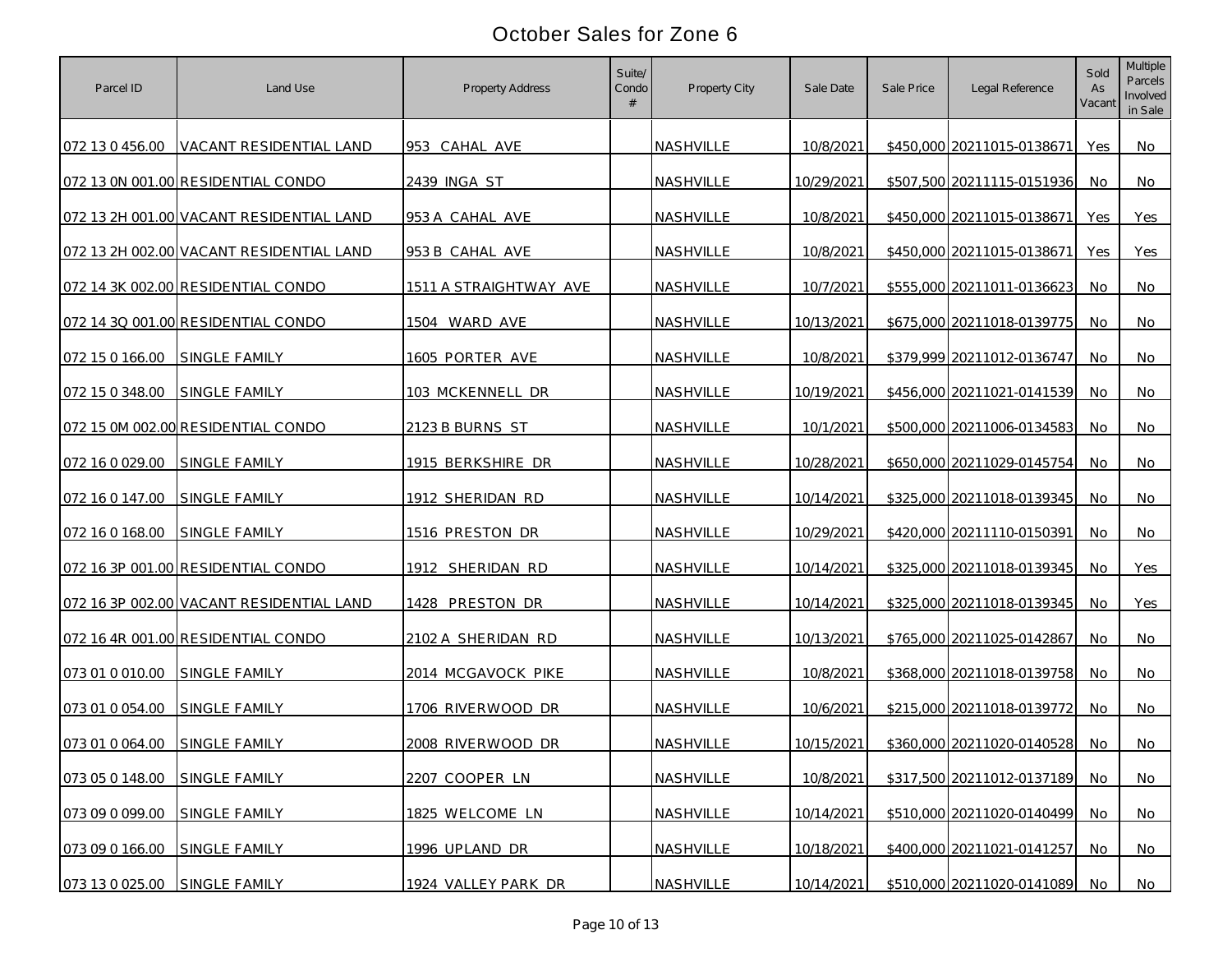| Parcel ID                     | Land Use                                 | Property Address       | Suite/<br>Condo | Property City    | Sale Date  | Sale Price | Legal Reference               | Sold<br>As<br>Vacant | Multiple<br>Parcels<br>Involved<br>in Sale |
|-------------------------------|------------------------------------------|------------------------|-----------------|------------------|------------|------------|-------------------------------|----------------------|--------------------------------------------|
|                               | 072 13 0 456.00 VACANT RESIDENTIAL LAND  | 953 CAHAL AVE          |                 | NASHVILLE        | 10/8/2021  |            | \$450,000 20211015-0138671    | Yes                  | No                                         |
|                               | 072 13 0N 001.00 RESIDENTIAL CONDO       | 2439 INGA ST           |                 | NASHVILLE        | 10/29/2021 |            | \$507,500 20211115-0151936    | No                   | No                                         |
|                               | 072 13 2H 001.00 VACANT RESIDENTIAL LAND | 953 A CAHAL AVE        |                 | NASHVILLE        | 10/8/2021  |            | \$450,000 20211015-0138671    | Yes                  | Yes                                        |
|                               | 072 13 2H 002.00 VACANT RESIDENTIAL LAND | 953 B CAHAL AVE        |                 | NASHVILLE        | 10/8/2021  |            | \$450,000 20211015-0138671    | Yes                  | Yes                                        |
|                               | 072 14 3K 002.00 RESIDENTIAL CONDO       | 1511 A STRAIGHTWAY AVE |                 | <b>NASHVILLE</b> | 10/7/2021  |            | \$555,000 20211011-0136623    | No                   | No                                         |
|                               | 072 14 3Q 001.00 RESIDENTIAL CONDO       | 1504 WARD AVE          |                 | NASHVILLE        | 10/13/2021 |            | \$675,000 20211018-0139775    | No                   | No                                         |
| 072 15 0 166.00               | <b>SINGLE FAMILY</b>                     | 1605 PORTER AVE        |                 | NASHVILLE        | 10/8/2021  |            | \$379,999 20211012-0136747    | No                   | No                                         |
| 072 15 0 348.00               | SINGLE FAMILY                            | 103 MCKENNELL DR       |                 | NASHVILLE        | 10/19/2021 |            | \$456,000 20211021-0141539    | No.                  | No                                         |
|                               | 072 15 0M 002.00 RESIDENTIAL CONDO       | 2123 B BURNS ST        |                 | NASHVILLE        | 10/1/2021  |            | \$500,000 20211006-0134583    | No                   | No                                         |
| 072 16 0 029.00 SINGLE FAMILY |                                          | 1915 BERKSHIRE DR      |                 | NASHVILLE        | 10/28/2021 |            | \$650,000 20211029-0145754    | No.                  | No                                         |
| 072 16 0 147.00               | <b>SINGLE FAMILY</b>                     | 1912 SHERIDAN RD       |                 | <b>NASHVILLE</b> | 10/14/2021 |            | \$325,000 20211018-0139345    | No.                  | No                                         |
| 072 16 0 168.00               | <b>SINGLE FAMILY</b>                     | 1516 PRESTON DR        |                 | NASHVILLE        | 10/29/2021 |            | \$420,000 20211110-0150391    | No.                  | No                                         |
|                               | 072 16 3P 001.00 RESIDENTIAL CONDO       | 1912 SHERIDAN RD       |                 | <b>NASHVILLE</b> | 10/14/2021 |            | \$325,000 20211018-0139345    | No                   | Yes                                        |
|                               | 072 16 3P 002.00 VACANT RESIDENTIAL LAND | 1428 PRESTON DR        |                 | NASHVILLE        | 10/14/2021 |            | \$325,000 20211018-0139345    | No                   | Yes                                        |
|                               | 072 16 4R 001.00 RESIDENTIAL CONDO       | 2102 A SHERIDAN RD     |                 | NASHVILLE        | 10/13/2021 |            | \$765,000 20211025-0142867    | No                   | No                                         |
| 073 01 0 010.00               | SINGLE FAMILY                            | 2014 MCGAVOCK PIKE     |                 | NASHVILLE        | 10/8/2021  |            | \$368,000 20211018-0139758    | No                   | No                                         |
| 073 01 0 054.00               | SINGLE FAMILY                            | 1706 RIVERWOOD DR      |                 | NASHVILLE        | 10/6/2021  |            | \$215,000 20211018-0139772    | No.                  | No                                         |
| 073 01 0 064.00 SINGLE FAMILY |                                          | 2008 RIVERWOOD DR      |                 | NASHVILLE        | 10/15/2021 |            | \$360,000 20211020-0140528    | No.                  | No                                         |
| 073 05 0 148.00 SINGLE FAMILY |                                          | 2207 COOPER LN         |                 | NASHVILLE        | 10/8/2021  |            | \$317,500 20211012-0137189    | No.                  | No                                         |
| 073 09 0 099.00               | SINGLE FAMILY                            | 1825 WELCOME LN        |                 | NASHVILLE        | 10/14/2021 |            | \$510,000 20211020-0140499    | No                   | No                                         |
| 073 09 0 166.00               | SINGLE FAMILY                            | 1996 UPLAND DR         |                 | NASHVILLE        | 10/18/2021 |            | \$400,000 20211021-0141257    | No                   | No                                         |
| 073 13 0 025.00 SINGLE FAMILY |                                          | 1924 VALLEY PARK DR    |                 | NASHVILLE        | 10/14/2021 |            | \$510,000 20211020-0141089 No |                      | No                                         |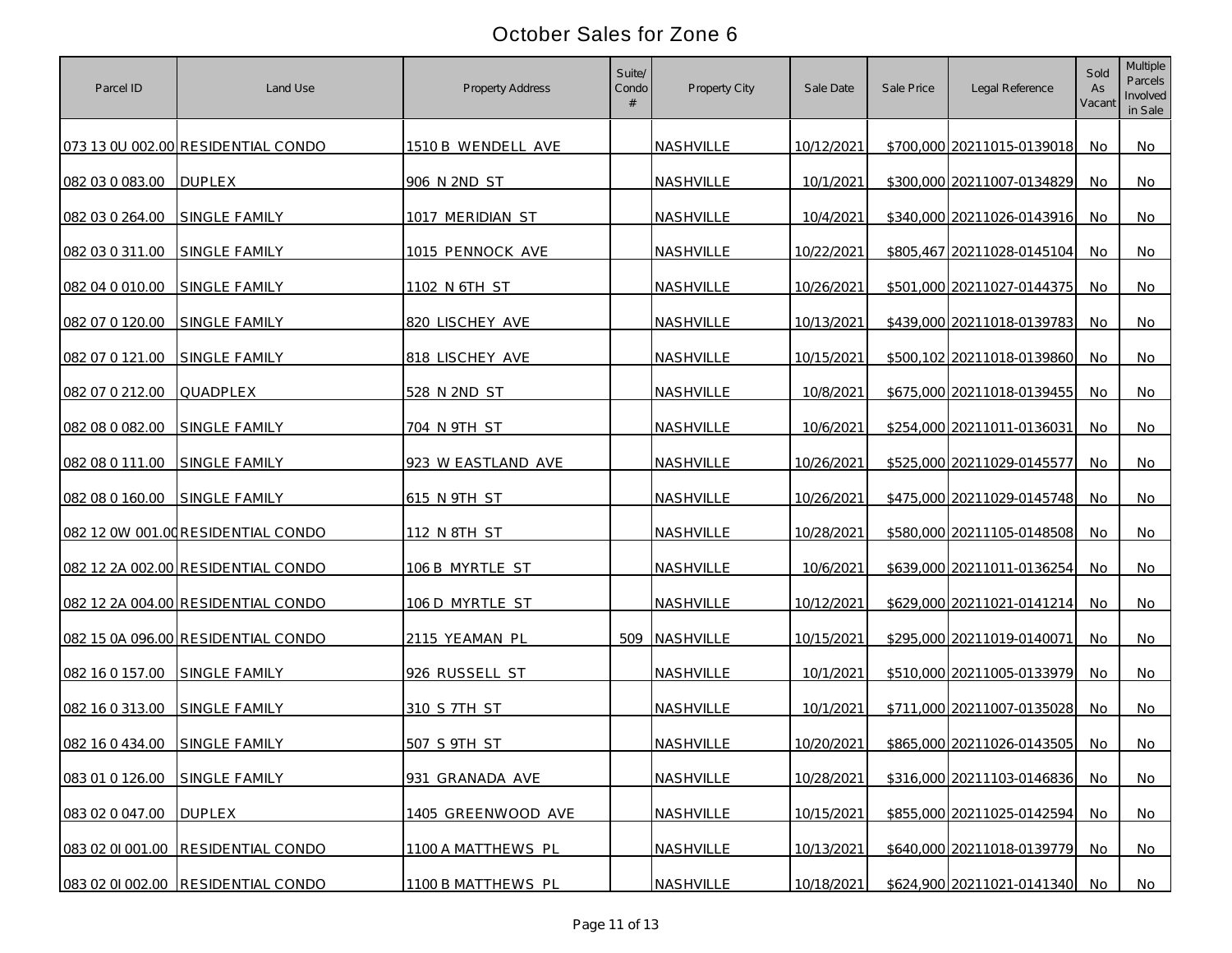| Parcel ID       | Land Use                           | Property Address   | Suite/<br>Condo<br># | Property City    | Sale Date  | Sale Price | Legal Reference               | Sold<br>As<br>Vacant | Multiple<br>Parcels<br>Involved<br>in Sale |
|-----------------|------------------------------------|--------------------|----------------------|------------------|------------|------------|-------------------------------|----------------------|--------------------------------------------|
|                 | 073 13 0U 002.00 RESIDENTIAL CONDO | 1510 B WENDELL AVE |                      | <b>NASHVILLE</b> | 10/12/2021 |            | \$700,000 20211015-0139018    | No.                  | No                                         |
| 082 03 0 083.00 | <b>DUPLEX</b>                      | 906 N 2ND ST       |                      | NASHVILLE        | 10/1/2021  |            | \$300,000 20211007-0134829    | No                   | No                                         |
| 082 03 0 264.00 | SINGLE FAMILY                      | 1017 MERIDIAN ST   |                      | NASHVILLE        | 10/4/2021  |            | \$340,000 20211026-0143916    | No                   | No                                         |
| 082 03 0 311.00 | SINGLE FAMILY                      | 1015 PENNOCK AVE   |                      | NASHVILLE        | 10/22/2021 |            | \$805,467 20211028-0145104    | No                   | No                                         |
| 082 04 0 010.00 | <b>SINGLE FAMILY</b>               | 1102 N 6TH ST      |                      | NASHVILLE        | 10/26/2021 |            | \$501,000 20211027-0144375    | No                   | No                                         |
| 082 07 0 120.00 | SINGLE FAMILY                      | 820 LISCHEY AVE    |                      | NASHVILLE        | 10/13/2021 |            | \$439,000 20211018-0139783    | No                   | No                                         |
| 082 07 0 121.00 | <b>SINGLE FAMILY</b>               | 818 LISCHEY AVE    |                      | NASHVILLE        | 10/15/2021 |            | \$500,102 20211018-0139860    | No                   | No                                         |
| 082 07 0 212.00 | QUADPLEX                           | 528 N 2ND ST       |                      | NASHVILLE        | 10/8/2021  |            | \$675,000 20211018-0139455    | No.                  | No                                         |
| 082 08 0 082.00 | SINGLE FAMILY                      | 704 N 9TH ST       |                      | NASHVILLE        | 10/6/2021  |            | \$254,000 20211011-0136031    | No                   | No                                         |
| 082 08 0 111.00 | <b>SINGLE FAMILY</b>               | 923 W EASTLAND AVE |                      | NASHVILLE        | 10/26/2021 |            | \$525,000 20211029-0145577    | No.                  | No                                         |
| 082 08 0 160.00 | SINGLE FAMILY                      | 615 N 9TH ST       |                      | NASHVILLE        | 10/26/2021 |            | \$475,000 20211029-0145748    | No.                  | No                                         |
|                 | 082 12 0W 001.00 RESIDENTIAL CONDO | 112 N 8TH ST       |                      | NASHVILLE        | 10/28/2021 |            | \$580,000 20211105-0148508    | No.                  | No                                         |
|                 | 082 12 2A 002.00 RESIDENTIAL CONDO | 106 B MYRTLE ST    |                      | NASHVILLE        | 10/6/2021  |            | \$639,000 20211011-0136254    | No                   | No                                         |
|                 | 082 12 2A 004.00 RESIDENTIAL CONDO | 106 D MYRTLE ST    |                      | NASHVILLE        | 10/12/2021 |            | \$629,000 20211021-0141214    | No                   | No                                         |
|                 | 082 15 0A 096.00 RESIDENTIAL CONDO | 2115 YEAMAN PL     | 509                  | NASHVILLE        | 10/15/2021 |            | \$295,000 20211019-0140071    | No                   | No                                         |
| 082 16 0 157.00 | SINGLE FAMILY                      | 926 RUSSELL ST     |                      | NASHVILLE        | 10/1/2021  |            | \$510,000 20211005-0133979    | No                   | No                                         |
| 082 16 0 313.00 | <b>SINGLE FAMILY</b>               | 310 S 7TH ST       |                      | NASHVILLE        | 10/1/2021  |            | \$711,000 20211007-0135028    | No.                  | No                                         |
| 082 16 0 434.00 | SINGLE FAMILY                      | 507 S 9TH ST       |                      | NASHVILLE        | 10/20/2021 |            | \$865,000 20211026-0143505    | No.                  | No                                         |
| 083 01 0 126.00 | SINGLE FAMILY                      | 931 GRANADA AVE    |                      | NASHVILLE        | 10/28/2021 |            | \$316,000 20211103-0146836    | No.                  | No                                         |
| 083 02 0 047.00 | <b>DUPLEX</b>                      | 1405 GREENWOOD AVE |                      | NASHVILLE        | 10/15/2021 |            | \$855,000 20211025-0142594    | No                   | No                                         |
|                 | 083 02 01 001.00 RESIDENTIAL CONDO | 1100 A MATTHEWS PL |                      | NASHVILLE        | 10/13/2021 |            | \$640,000 20211018-0139779    | <b>No</b>            | No                                         |
|                 | 083 02 01 002.00 RESIDENTIAL CONDO | 1100 B MATTHEWS PL |                      | NASHVILLE        | 10/18/2021 |            | \$624,900 20211021-0141340 No |                      | No                                         |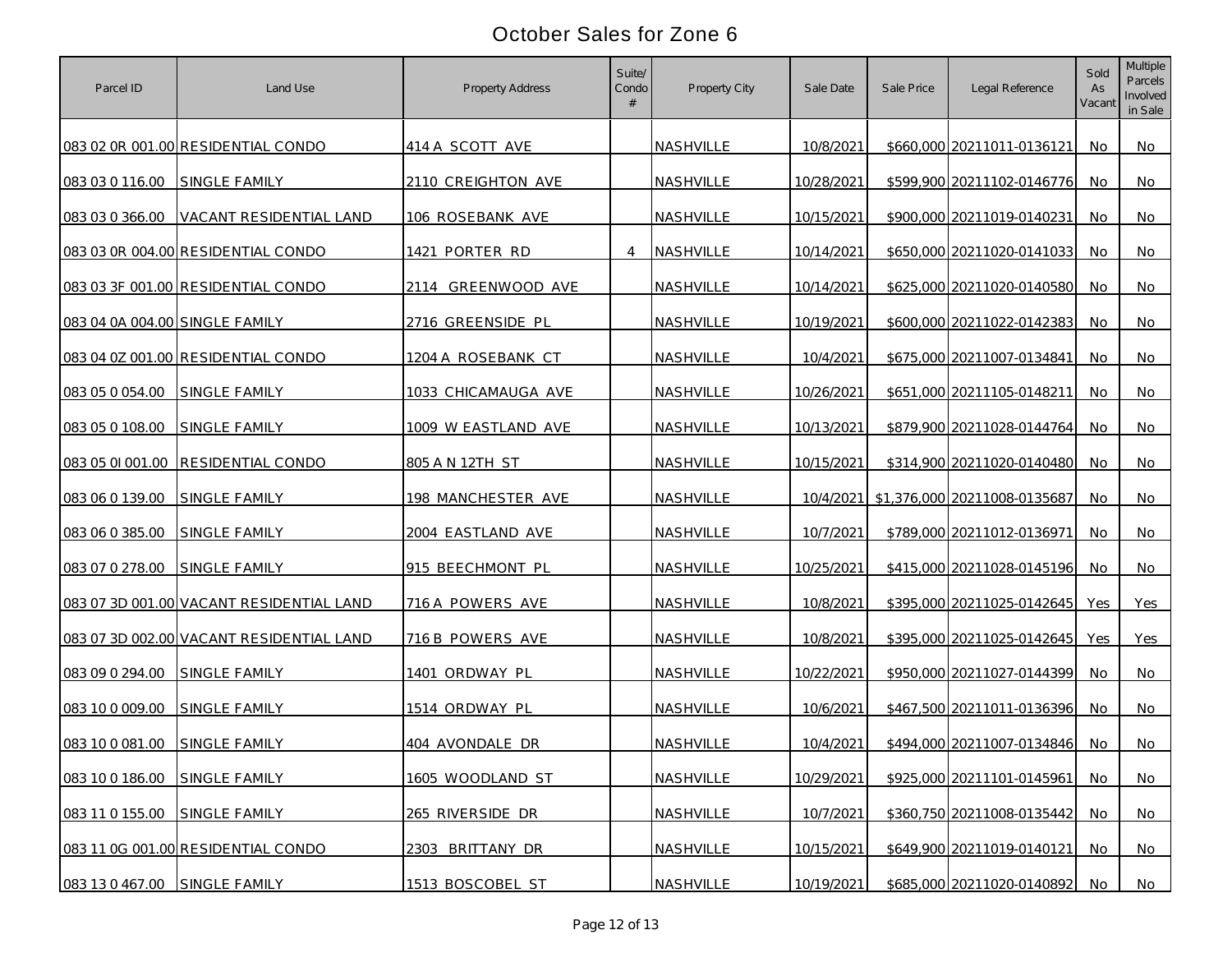| Parcel ID                      | Land Use                                 | Property Address    | Suite/<br>Condo<br># | Property City | Sale Date  | Sale Price | Legal Reference                        | Sold<br>As<br>Vacant | Multiple<br>Parcels<br>Involved<br>in Sale |
|--------------------------------|------------------------------------------|---------------------|----------------------|---------------|------------|------------|----------------------------------------|----------------------|--------------------------------------------|
|                                | 083 02 0R 001.00 RESIDENTIAL CONDO       | 414 A SCOTT AVE     |                      | NASHVILLE     | 10/8/2021  |            | \$660,000 20211011-0136121             | No.                  | No                                         |
| 083 03 0 116.00                | <b>SINGLE FAMILY</b>                     | 2110 CREIGHTON AVE  |                      | NASHVILLE     | 10/28/2021 |            | \$599,900 20211102-0146776             | No                   | No                                         |
| 083 03 0 366.00                | VACANT RESIDENTIAL LAND                  | 106 ROSEBANK AVE    |                      | NASHVILLE     | 10/15/2021 |            | \$900,000 20211019-0140231             | No                   | No                                         |
|                                | 083 03 0R 004.00 RESIDENTIAL CONDO       | 1421 PORTER RD      | $\overline{4}$       | NASHVILLE     | 10/14/2021 |            | \$650,000 20211020-0141033             | No                   | No                                         |
|                                | 083 03 3F 001.00 RESIDENTIAL CONDO       | 2114 GREENWOOD AVE  |                      | NASHVILLE     | 10/14/2021 |            | \$625,000 20211020-0140580             | No                   | No                                         |
| 083 04 0A 004.00 SINGLE FAMILY |                                          | 2716 GREENSIDE PL   |                      | NASHVILLE     | 10/19/2021 |            | \$600,000 20211022-0142383             | No                   | No                                         |
|                                | 083 04 0Z 001.00 RESIDENTIAL CONDO       | 1204 A ROSEBANK CT  |                      | NASHVILLE     | 10/4/2021  |            | \$675,000 20211007-0134841             | No                   | No                                         |
| 083 05 0 054.00                | SINGLE FAMILY                            | 1033 CHICAMAUGA AVE |                      | NASHVILLE     | 10/26/2021 |            | \$651,000 20211105-0148211             | No.                  | No                                         |
| 083 05 0 108.00                | SINGLE FAMILY                            | 1009 W EASTLAND AVE |                      | NASHVILLE     | 10/13/2021 |            | \$879,900 20211028-0144764             | No                   | No                                         |
|                                | 083 05 01 001.00 RESIDENTIAL CONDO       | 805 A N 12TH ST     |                      | NASHVILLE     | 10/15/2021 |            | \$314,900 20211020-0140480             | No.                  | No                                         |
| 083 06 0 139.00                | SINGLE FAMILY                            | 198 MANCHESTER AVE  |                      | NASHVILLE     |            |            | 10/4/2021 \$1,376,000 20211008-0135687 | No.                  | No                                         |
| 083 06 0 385.00                | SINGLE FAMILY                            | 2004 EASTLAND AVE   |                      | NASHVILLE     | 10/7/2021  |            | \$789,000 20211012-0136971             | No.                  | No                                         |
| 083 07 0 278.00                | SINGLE FAMILY                            | 915 BEECHMONT PL    |                      | NASHVILLE     | 10/25/2021 |            | \$415,000 20211028-0145196             | No                   | No                                         |
|                                | 083 07 3D 001.00 VACANT RESIDENTIAL LAND | 716 A POWERS AVE    |                      | NASHVILLE     | 10/8/2021  |            | \$395,000 20211025-0142645             | Yes                  | Yes                                        |
|                                | 083 07 3D 002.00 VACANT RESIDENTIAL LAND | 716 B POWERS AVE    |                      | NASHVILLE     | 10/8/2021  |            | \$395,000 20211025-0142645             | Yes                  | Yes                                        |
| 083 09 0 294.00                | <b>SINGLE FAMILY</b>                     | 1401 ORDWAY PL      |                      | NASHVILLE     | 10/22/2021 |            | \$950,000 20211027-0144399             | No                   | No                                         |
| 083 10 0 009.00                | <b>SINGLE FAMILY</b>                     | 1514 ORDWAY PL      |                      | NASHVILLE     | 10/6/2021  |            | \$467,500 20211011-0136396             | No                   | No                                         |
| 083 10 0 081.00                | SINGLE FAMILY                            | 404 AVONDALE DR     |                      | NASHVILLE     | 10/4/2021  |            | \$494,000 20211007-0134846             | No.                  | No                                         |
| 083 10 0 186.00                | SINGLE FAMILY                            | 1605 WOODLAND ST    |                      | NASHVILLE     | 10/29/2021 |            | \$925,000 20211101-0145961             | No.                  | No                                         |
| 083 11 0 155.00                | SINGLE FAMILY                            | 265 RIVERSIDE DR    |                      | NASHVILLE     | 10/7/2021  |            | \$360,750 20211008-0135442             | No                   | No                                         |
|                                | 083 11 0G 001.00 RESIDENTIAL CONDO       | 2303 BRITTANY DR    |                      | NASHVILLE     | 10/15/2021 |            | \$649,900 20211019-0140121             | No                   | No                                         |
| 083 13 0 467.00 SINGLE FAMILY  |                                          | 1513 BOSCOBEL ST    |                      | NASHVILLE     | 10/19/2021 |            | \$685,000 20211020-0140892             | No                   | No                                         |